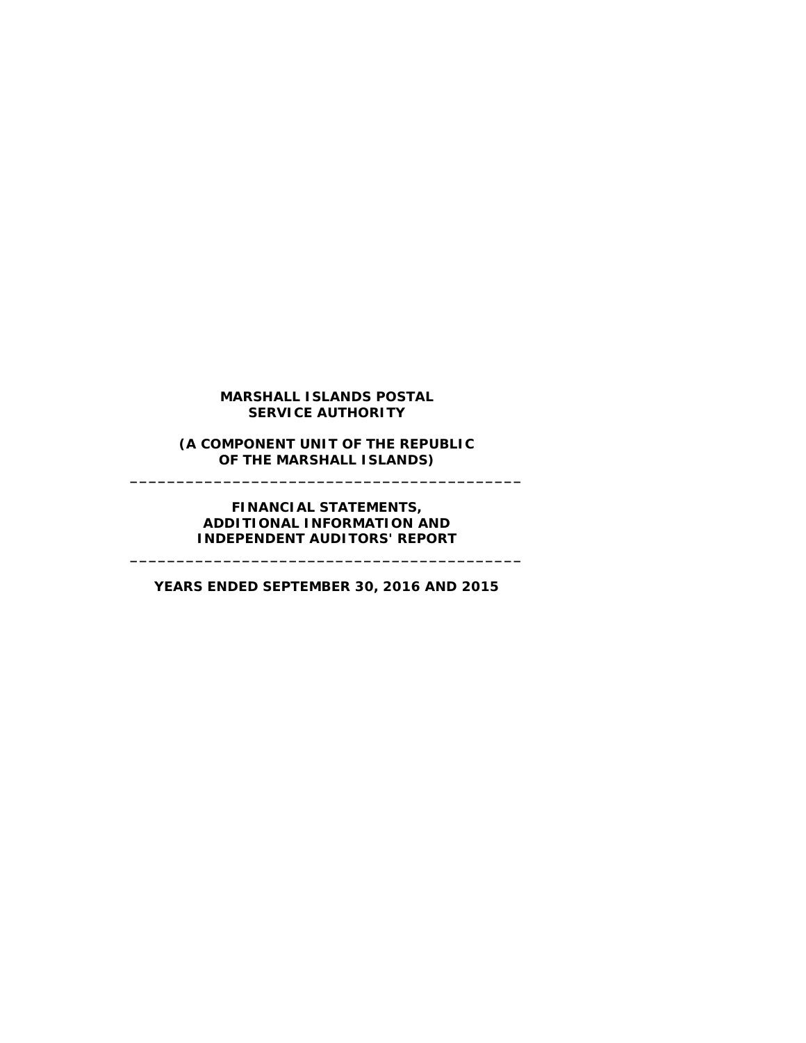**(A COMPONENT UNIT OF THE REPUBLIC OF THE MARSHALL ISLANDS) \_\_\_\_\_\_\_\_\_\_\_\_\_\_\_\_\_\_\_\_\_\_\_\_\_\_\_\_\_\_\_\_\_\_\_\_\_\_\_\_\_\_**

## **FINANCIAL STATEMENTS, ADDITIONAL INFORMATION AND INDEPENDENT AUDITORS' REPORT**

**\_\_\_\_\_\_\_\_\_\_\_\_\_\_\_\_\_\_\_\_\_\_\_\_\_\_\_\_\_\_\_\_\_\_\_\_\_\_\_\_\_\_**

**YEARS ENDED SEPTEMBER 30, 2016 AND 2015**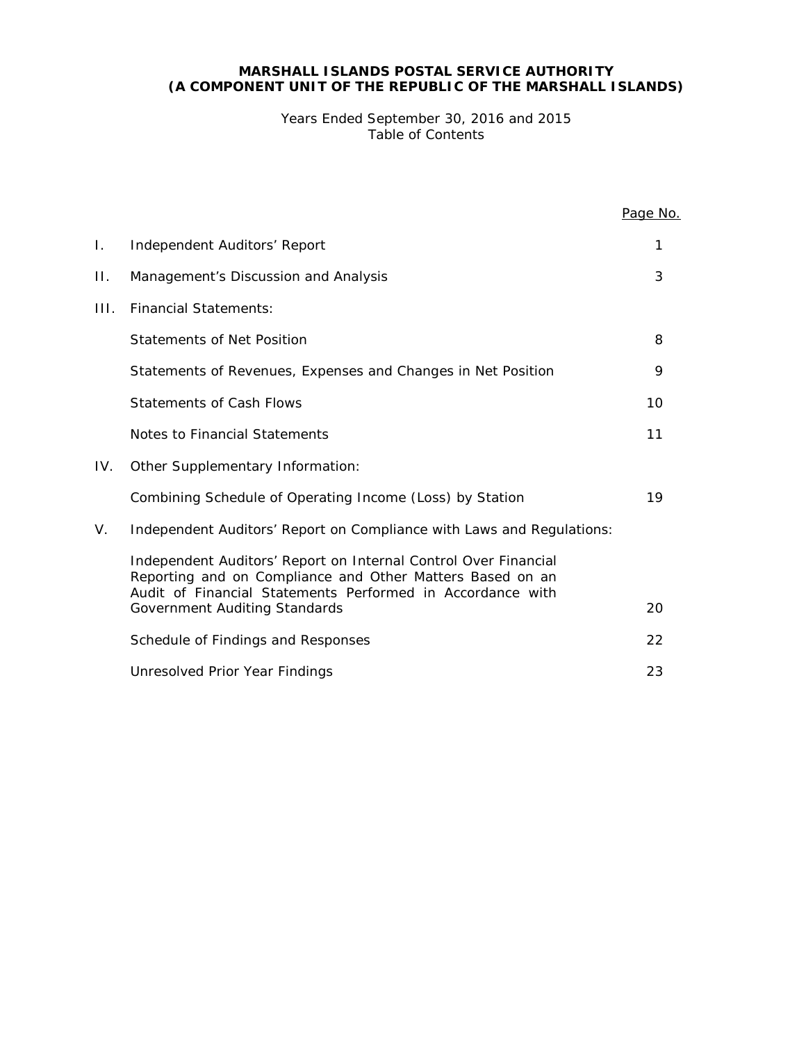# **MARSHALL ISLANDS POSTAL SERVICE AUTHORITY (A COMPONENT UNIT OF THE REPUBLIC OF THE MARSHALL ISLANDS)**

## Years Ended September 30, 2016 and 2015 Table of Contents

|              |                                                                                                                                                                                            | Page No. |
|--------------|--------------------------------------------------------------------------------------------------------------------------------------------------------------------------------------------|----------|
| $\mathbf{L}$ | Independent Auditors' Report                                                                                                                                                               | 1        |
| Н.           | Management's Discussion and Analysis                                                                                                                                                       | 3        |
| III.         | <b>Financial Statements:</b>                                                                                                                                                               |          |
|              | <b>Statements of Net Position</b>                                                                                                                                                          | 8        |
|              | Statements of Revenues, Expenses and Changes in Net Position                                                                                                                               | 9        |
|              | <b>Statements of Cash Flows</b>                                                                                                                                                            | 10       |
|              | Notes to Financial Statements                                                                                                                                                              | 11       |
| IV.          | Other Supplementary Information:                                                                                                                                                           |          |
|              | Combining Schedule of Operating Income (Loss) by Station                                                                                                                                   | 19       |
| V.           | Independent Auditors' Report on Compliance with Laws and Regulations:                                                                                                                      |          |
|              | Independent Auditors' Report on Internal Control Over Financial<br>Reporting and on Compliance and Other Matters Based on an<br>Audit of Financial Statements Performed in Accordance with |          |
|              | Government Auditing Standards                                                                                                                                                              | 20       |
|              | Schedule of Findings and Responses                                                                                                                                                         | 22       |
|              | Unresolved Prior Year Findings                                                                                                                                                             | 23       |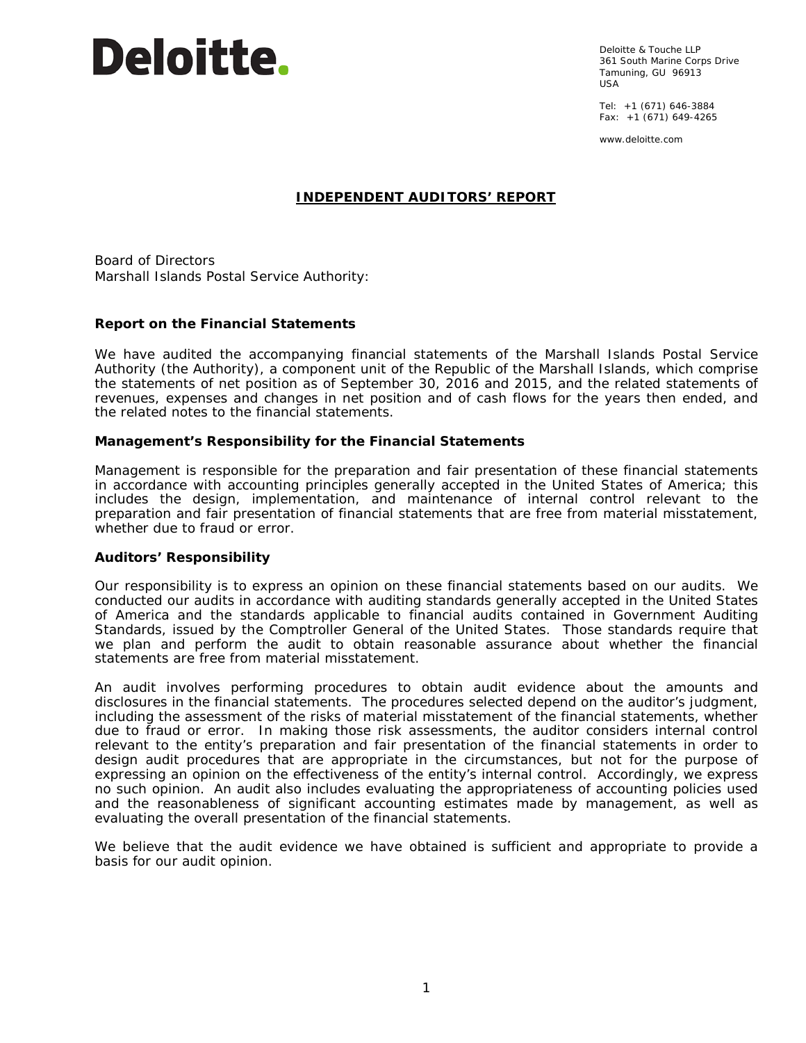# Deloitte.

Deloitte & Touche LLP 361 South Marine Corps Drive Tamuning, GU 96913 USA

Tel: +1 (671) 646-3884 Fax: +1 (671) 649-4265

www.deloitte.com

## **INDEPENDENT AUDITORS' REPORT**

Board of Directors Marshall Islands Postal Service Authority:

## **Report on the Financial Statements**

We have audited the accompanying financial statements of the Marshall Islands Postal Service Authority (the Authority), a component unit of the Republic of the Marshall Islands, which comprise the statements of net position as of September 30, 2016 and 2015, and the related statements of revenues, expenses and changes in net position and of cash flows for the years then ended, and the related notes to the financial statements.

## *Management's Responsibility for the Financial Statements*

Management is responsible for the preparation and fair presentation of these financial statements in accordance with accounting principles generally accepted in the United States of America; this includes the design, implementation, and maintenance of internal control relevant to the preparation and fair presentation of financial statements that are free from material misstatement, whether due to fraud or error.

## *Auditors' Responsibility*

Our responsibility is to express an opinion on these financial statements based on our audits. We conducted our audits in accordance with auditing standards generally accepted in the United States of America and the standards applicable to financial audits contained in *Government Auditing Standards,* issued by the Comptroller General of the United States. Those standards require that we plan and perform the audit to obtain reasonable assurance about whether the financial statements are free from material misstatement.

An audit involves performing procedures to obtain audit evidence about the amounts and disclosures in the financial statements. The procedures selected depend on the auditor's judgment, including the assessment of the risks of material misstatement of the financial statements, whether due to fraud or error. In making those risk assessments, the auditor considers internal control relevant to the entity's preparation and fair presentation of the financial statements in order to design audit procedures that are appropriate in the circumstances, but not for the purpose of expressing an opinion on the effectiveness of the entity's internal control. Accordingly, we express no such opinion. An audit also includes evaluating the appropriateness of accounting policies used and the reasonableness of significant accounting estimates made by management, as well as evaluating the overall presentation of the financial statements.

We believe that the audit evidence we have obtained is sufficient and appropriate to provide a basis for our audit opinion.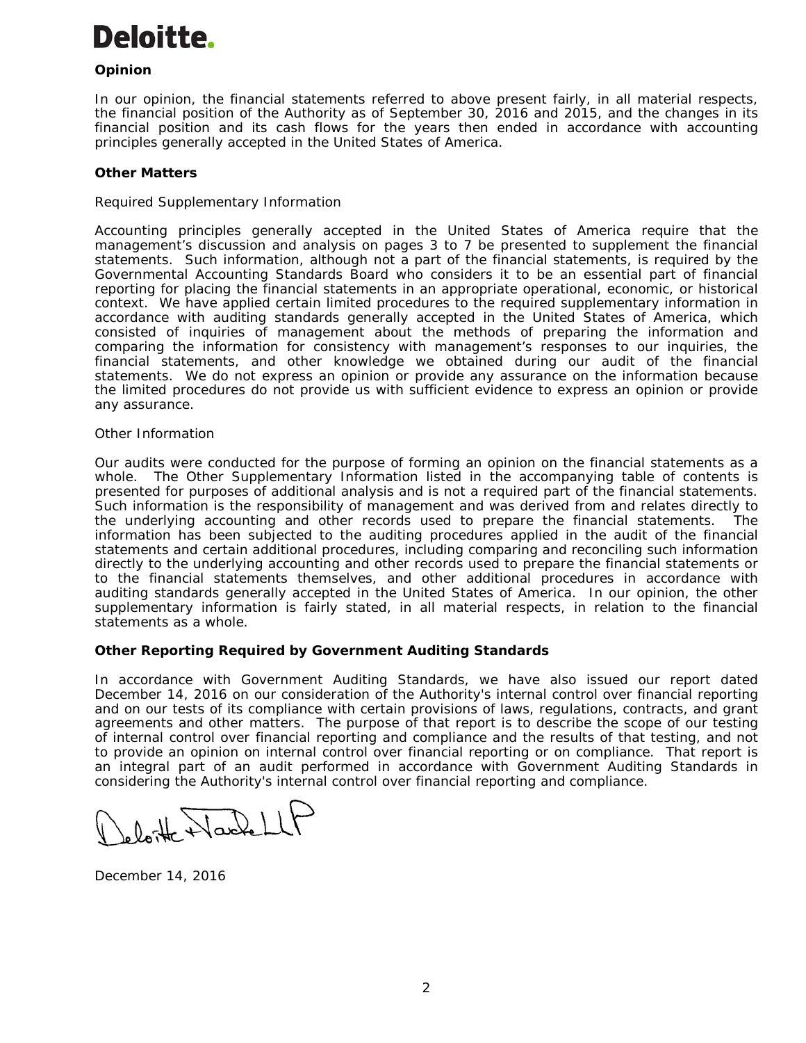

## *Opinion*

In our opinion, the financial statements referred to above present fairly, in all material respects, the financial position of the Authority as of September 30, 2016 and 2015, and the changes in its financial position and its cash flows for the years then ended in accordance with accounting principles generally accepted in the United States of America.

## *Other Matters*

## *Required Supplementary Information*

Accounting principles generally accepted in the United States of America require that the management's discussion and analysis on pages 3 to 7 be presented to supplement the financial statements. Such information, although not a part of the financial statements, is required by the Governmental Accounting Standards Board who considers it to be an essential part of financial reporting for placing the financial statements in an appropriate operational, economic, or historical context. We have applied certain limited procedures to the required supplementary information in accordance with auditing standards generally accepted in the United States of America, which consisted of inquiries of management about the methods of preparing the information and comparing the information for consistency with management's responses to our inquiries, the financial statements, and other knowledge we obtained during our audit of the financial statements. We do not express an opinion or provide any assurance on the information because the limited procedures do not provide us with sufficient evidence to express an opinion or provide any assurance.

## *Other Information*

Our audits were conducted for the purpose of forming an opinion on the financial statements as a whole. The Other Supplementary Information listed in the accompanying table of contents is presented for purposes of additional analysis and is not a required part of the financial statements. Such information is the responsibility of management and was derived from and relates directly to the underlying accounting and other records used to prepare the financial statements. The information has been subjected to the auditing procedures applied in the audit of the financial statements and certain additional procedures, including comparing and reconciling such information directly to the underlying accounting and other records used to prepare the financial statements or to the financial statements themselves, and other additional procedures in accordance with auditing standards generally accepted in the United States of America. In our opinion, the other supplementary information is fairly stated, in all material respects, in relation to the financial statements as a whole.

## **Other Reporting Required by** *Government Auditing Standards*

In accordance with *Government Auditing Standards*, we have also issued our report dated December 14, 2016 on our consideration of the Authority's internal control over financial reporting and on our tests of its compliance with certain provisions of laws, regulations, contracts, and grant agreements and other matters. The purpose of that report is to describe the scope of our testing of internal control over financial reporting and compliance and the results of that testing, and not to provide an opinion on internal control over financial reporting or on compliance. That report is an integral part of an audit performed in accordance with *Government Auditing Standards* in considering the Authority's internal control over financial reporting and compliance.

lette Nachel

December 14, 2016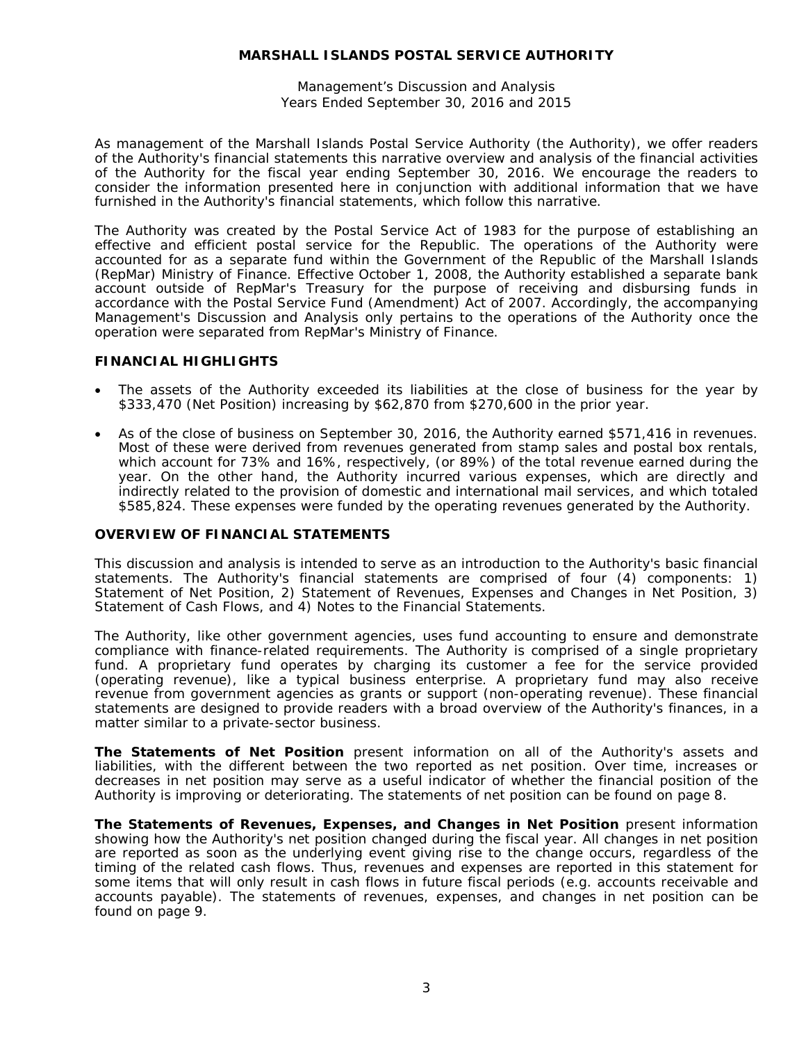## Management's Discussion and Analysis Years Ended September 30, 2016 and 2015

As management of the Marshall Islands Postal Service Authority (the Authority), we offer readers of the Authority's financial statements this narrative overview and analysis of the financial activities of the Authority for the fiscal year ending September 30, 2016. We encourage the readers to consider the information presented here in conjunction with additional information that we have furnished in the Authority's financial statements, which follow this narrative.

The Authority was created by the Postal Service Act of 1983 for the purpose of establishing an effective and efficient postal service for the Republic. The operations of the Authority were accounted for as a separate fund within the Government of the Republic of the Marshall Islands (RepMar) Ministry of Finance. Effective October 1, 2008, the Authority established a separate bank account outside of RepMar's Treasury for the purpose of receiving and disbursing funds in accordance with the Postal Service Fund (Amendment) Act of 2007. Accordingly, the accompanying Management's Discussion and Analysis only pertains to the operations of the Authority once the operation were separated from RepMar's Ministry of Finance.

## **FINANCIAL HIGHLIGHTS**

- The assets of the Authority exceeded its liabilities at the close of business for the year by \$333,470 (Net Position) increasing by \$62,870 from \$270,600 in the prior year.
- As of the close of business on September 30, 2016, the Authority earned \$571,416 in revenues. Most of these were derived from revenues generated from stamp sales and postal box rentals, which account for 73% and 16%, respectively, (or 89%) of the total revenue earned during the year. On the other hand, the Authority incurred various expenses, which are directly and indirectly related to the provision of domestic and international mail services, and which totaled \$585,824. These expenses were funded by the operating revenues generated by the Authority.

## **OVERVIEW OF FINANCIAL STATEMENTS**

This discussion and analysis is intended to serve as an introduction to the Authority's basic financial statements. The Authority's financial statements are comprised of four (4) components: 1) Statement of Net Position, 2) Statement of Revenues, Expenses and Changes in Net Position, 3) Statement of Cash Flows, and 4) Notes to the Financial Statements.

The Authority, like other government agencies, uses fund accounting to ensure and demonstrate compliance with finance-related requirements. The Authority is comprised of a single proprietary fund. A proprietary fund operates by charging its customer a fee for the service provided (operating revenue), like a typical business enterprise. A proprietary fund may also receive revenue from government agencies as grants or support (non-operating revenue). These financial statements are designed to provide readers with a broad overview of the Authority's finances, in a matter similar to a private-sector business.

**The Statements of Net Position** present information on all of the Authority's assets and liabilities, with the different between the two reported as net position. Over time, increases or decreases in net position may serve as a useful indicator of whether the financial position of the Authority is improving or deteriorating. The statements of net position can be found on page 8.

**The Statements of Revenues, Expenses, and Changes in Net Position** present information showing how the Authority's net position changed during the fiscal year. All changes in net position are reported as soon as the underlying event giving rise to the change occurs, regardless of the timing of the related cash flows. Thus, revenues and expenses are reported in this statement for some items that will only result in cash flows in future fiscal periods (e.g. accounts receivable and accounts payable). The statements of revenues, expenses, and changes in net position can be found on page 9.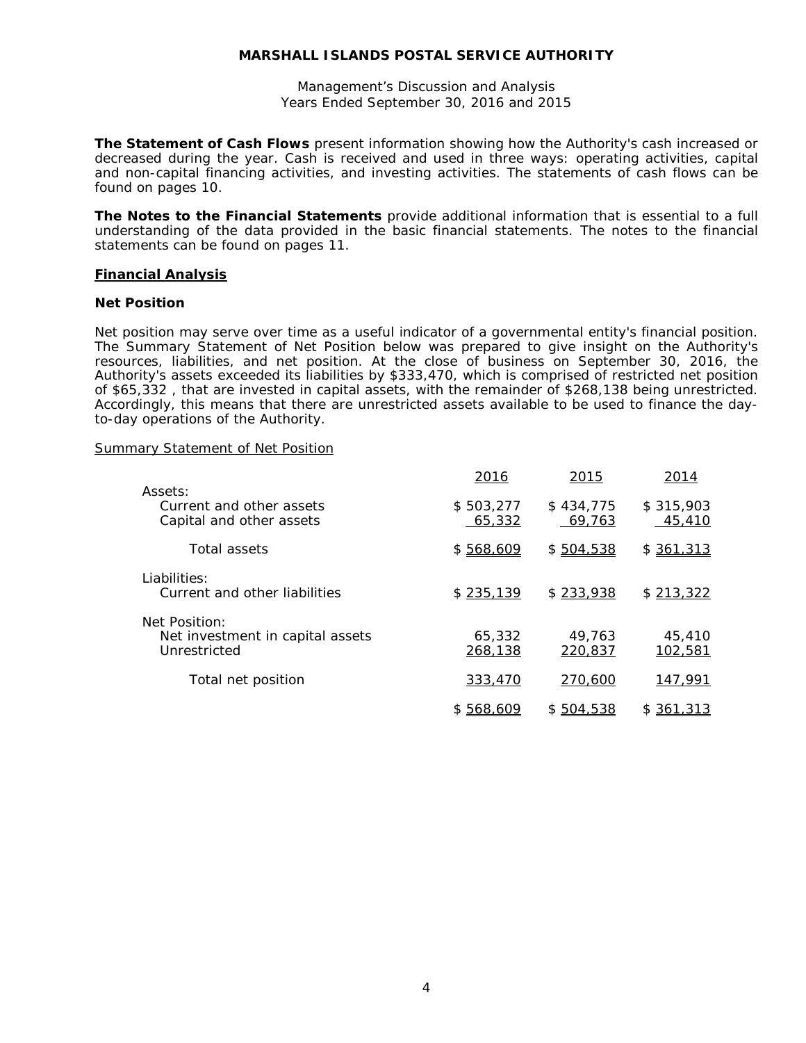Management's Discussion and Analysis Years Ended September 30, 2016 and 2015

**The Statement of Cash Flows** present information showing how the Authority's cash increased or decreased during the year. Cash is received and used in three ways: operating activities, capital and non-capital financing activities, and investing activities. The statements of cash flows can be found on pages 10.

**The Notes to the Financial Statements** provide additional information that is essential to a full understanding of the data provided in the basic financial statements. The notes to the financial statements can be found on pages 11.

#### **Financial Analysis**

## **Net Position**

Net position may serve over time as a useful indicator of a governmental entity's financial position. The Summary Statement of Net Position below was prepared to give insight on the Authority's resources, liabilities, and net position. At the close of business on September 30, 2016, the Authority's assets exceeded its liabilities by \$333,470, which is comprised of restricted net position of \$65,332 , that are invested in capital assets, with the remainder of \$268,138 being unrestricted. Accordingly, this means that there are unrestricted assets available to be used to finance the dayto-day operations of the Authority.

#### Summary Statement of Net Position

| Assets:                                                           | 2016                | 2015                | 2014                |
|-------------------------------------------------------------------|---------------------|---------------------|---------------------|
| Current and other assets<br>Capital and other assets              | \$503,277<br>65,332 | \$434,775<br>69.763 | \$315,903<br>45,410 |
| Total assets                                                      | \$568,609           | \$504,538           | \$361,313           |
| Liabilities:<br>Current and other liabilities                     | \$235,139           | \$233,938           | \$213,322           |
| Net Position:<br>Net investment in capital assets<br>Unrestricted | 65,332<br>268,138   | 49.763<br>220,837   | 45,410<br>102,581   |
| Total net position                                                | 333,470             | 270,600             | 147,991             |
|                                                                   | \$568,609           | \$504,538           | \$361,313           |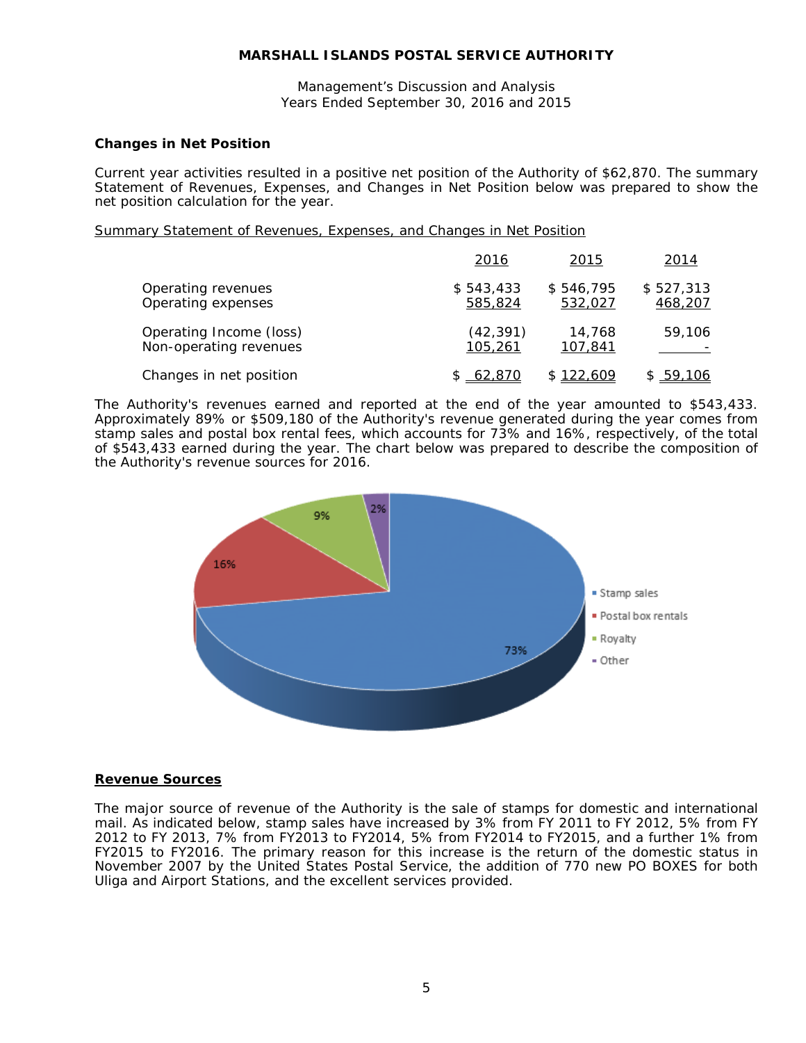Management's Discussion and Analysis Years Ended September 30, 2016 and 2015

## **Changes in Net Position**

Current year activities resulted in a positive net position of the Authority of \$62,870. The summary Statement of Revenues, Expenses, and Changes in Net Position below was prepared to show the net position calculation for the year.

#### Summary Statement of Revenues, Expenses, and Changes in Net Position

|                         | 2016      | 2015      | 2014      |
|-------------------------|-----------|-----------|-----------|
| Operating revenues      | \$543.433 | \$546.795 | \$527,313 |
| Operating expenses      | 585,824   | 532.027   | 468,207   |
| Operating Income (loss) | (42, 391) | 14,768    | 59,106    |
| Non-operating revenues  | 105,261   | 107,841   |           |
| Changes in net position | 62,870    | \$122,609 | \$59,106  |

The Authority's revenues earned and reported at the end of the year amounted to \$543,433. Approximately 89% or \$509,180 of the Authority's revenue generated during the year comes from stamp sales and postal box rental fees, which accounts for 73% and 16%, respectively, of the total of \$543,433 earned during the year. The chart below was prepared to describe the composition of the Authority's revenue sources for 2016.



## **Revenue Sources**

The major source of revenue of the Authority is the sale of stamps for domestic and international mail. As indicated below, stamp sales have increased by 3% from FY 2011 to FY 2012, 5% from FY 2012 to FY 2013, 7% from FY2013 to FY2014, 5% from FY2014 to FY2015, and a further 1% from FY2015 to FY2016. The primary reason for this increase is the return of the domestic status in November 2007 by the United States Postal Service, the addition of 770 new PO BOXES for both Uliga and Airport Stations, and the excellent services provided.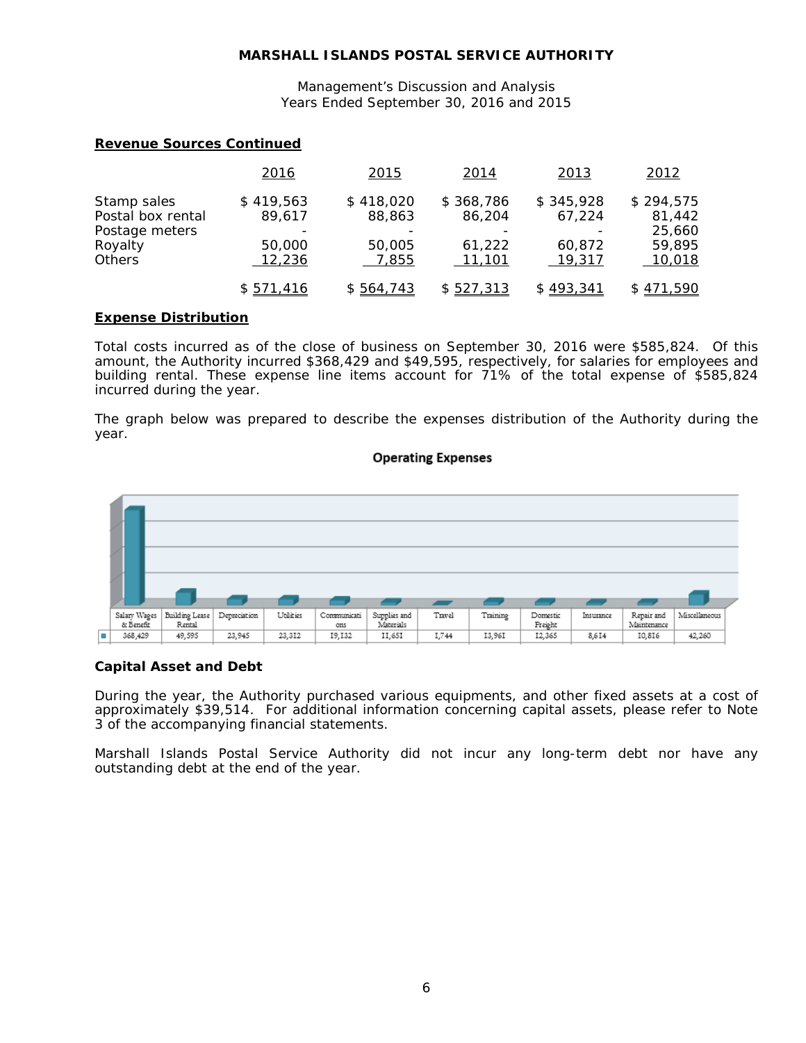Management's Discussion and Analysis Years Ended September 30, 2016 and 2015

## **Revenue Sources Continued**

|                                                                         | 2016                                    | 2015                                   | 2014                                    | 2013                                    | 2012                                              |
|-------------------------------------------------------------------------|-----------------------------------------|----------------------------------------|-----------------------------------------|-----------------------------------------|---------------------------------------------------|
| Stamp sales<br>Postal box rental<br>Postage meters<br>Royalty<br>Others | \$419,563<br>89.617<br>50,000<br>12,236 | \$418,020<br>88,863<br>50,005<br>7,855 | \$368,786<br>86,204<br>61,222<br>11.101 | \$345,928<br>67,224<br>60.872<br>19,317 | \$294,575<br>81,442<br>25,660<br>59,895<br>10,018 |
|                                                                         | \$571,416                               | \$564.743                              | \$527,313                               | \$493.341                               | \$471,590                                         |

## **Expense Distribution**

Total costs incurred as of the close of business on September 30, 2016 were \$585,824. Of this amount, the Authority incurred \$368,429 and \$49,595, respectively, for salaries for employees and building rental. These expense line items account for 71% of the total expense of \$585,824 incurred during the year.

The graph below was prepared to describe the expenses distribution of the Authority during the year.

## **Operating Expenses**



## **Capital Asset and Debt**

During the year, the Authority purchased various equipments, and other fixed assets at a cost of approximately \$39,514. For additional information concerning capital assets, please refer to Note 3 of the accompanying financial statements.

Marshall Islands Postal Service Authority did not incur any long-term debt nor have any outstanding debt at the end of the year.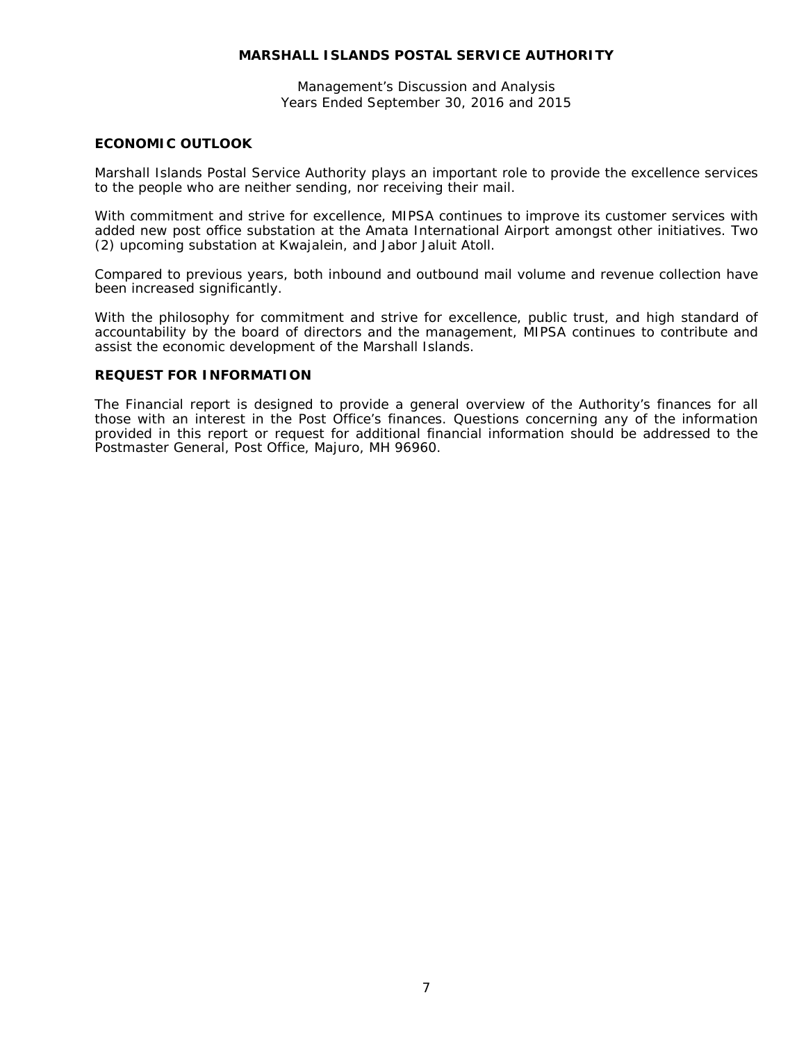Management's Discussion and Analysis Years Ended September 30, 2016 and 2015

## **ECONOMIC OUTLOOK**

Marshall Islands Postal Service Authority plays an important role to provide the excellence services to the people who are neither sending, nor receiving their mail.

With commitment and strive for excellence, MIPSA continues to improve its customer services with added new post office substation at the Amata International Airport amongst other initiatives. Two (2) upcoming substation at Kwajalein, and Jabor Jaluit Atoll.

Compared to previous years, both inbound and outbound mail volume and revenue collection have been increased significantly.

With the philosophy for commitment and strive for excellence, public trust, and high standard of accountability by the board of directors and the management, MIPSA continues to contribute and assist the economic development of the Marshall Islands.

## **REQUEST FOR INFORMATION**

The Financial report is designed to provide a general overview of the Authority's finances for all those with an interest in the Post Office's finances. Questions concerning any of the information provided in this report or request for additional financial information should be addressed to the Postmaster General, Post Office, Majuro, MH 96960.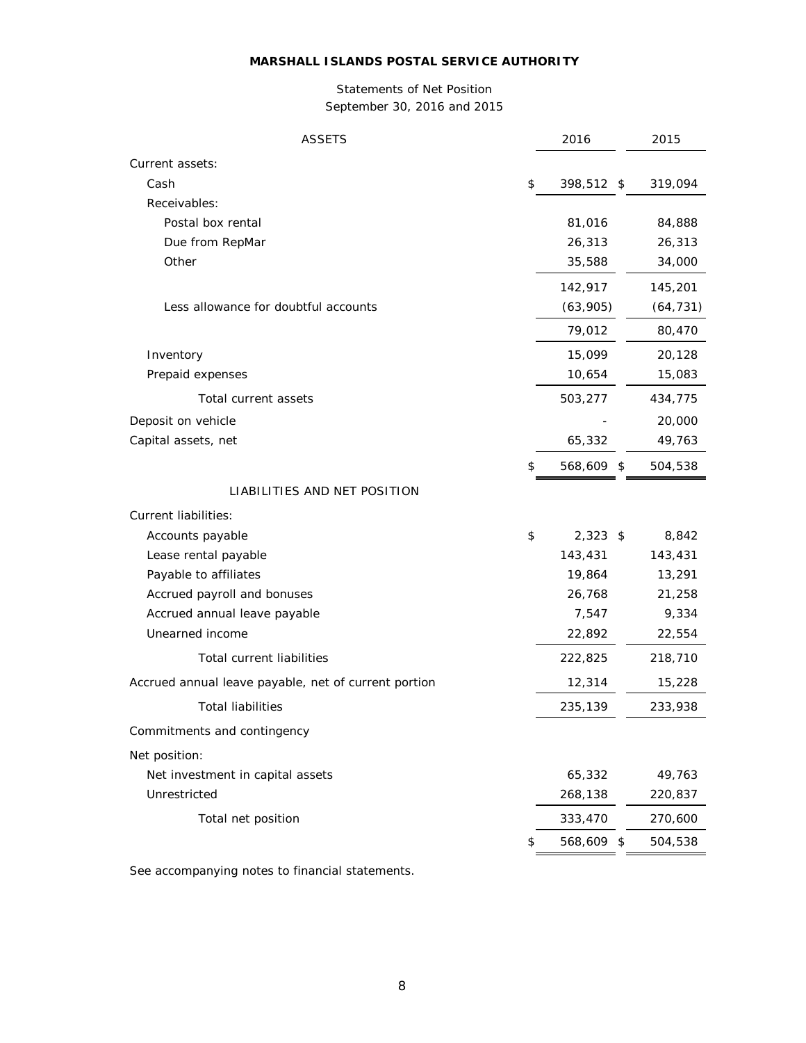# Statements of Net Position September 30, 2016 and 2015

| <b>ASSETS</b>                                        | 2016             | 2015      |
|------------------------------------------------------|------------------|-----------|
| Current assets:                                      |                  |           |
| Cash                                                 | \$<br>398,512 \$ | 319,094   |
| Receivables:                                         |                  |           |
| Postal box rental                                    | 81,016           | 84,888    |
| Due from RepMar                                      | 26,313           | 26,313    |
| Other                                                | 35,588           | 34,000    |
|                                                      | 142,917          | 145,201   |
| Less allowance for doubtful accounts                 | (63,905)         | (64, 731) |
|                                                      | 79,012           | 80,470    |
| Inventory                                            | 15,099           | 20,128    |
| Prepaid expenses                                     | 10,654           | 15,083    |
| Total current assets                                 | 503,277          | 434,775   |
| Deposit on vehicle                                   |                  | 20,000    |
| Capital assets, net                                  | 65,332           | 49,763    |
|                                                      | \$<br>568,609 \$ | 504,538   |
| LIABILITIES AND NET POSITION                         |                  |           |
| Current liabilities:                                 |                  |           |
| Accounts payable                                     | \$<br>$2,323$ \$ | 8,842     |
| Lease rental payable                                 | 143,431          | 143,431   |
| Payable to affiliates                                | 19,864           | 13,291    |
| Accrued payroll and bonuses                          | 26,768           | 21,258    |
| Accrued annual leave payable                         | 7,547            | 9,334     |
| Unearned income                                      | 22,892           | 22,554    |
| Total current liabilities                            | 222,825          | 218,710   |
| Accrued annual leave payable, net of current portion | 12,314           | 15,228    |
| <b>Total liabilities</b>                             | 235,139          | 233,938   |
| Commitments and contingency                          |                  |           |
| Net position:                                        |                  |           |
| Net investment in capital assets                     | 65,332           | 49,763    |
| Unrestricted                                         | 268,138          | 220,837   |
| Total net position                                   | 333,470          | 270,600   |
|                                                      | \$<br>568,609 \$ | 504,538   |

See accompanying notes to financial statements.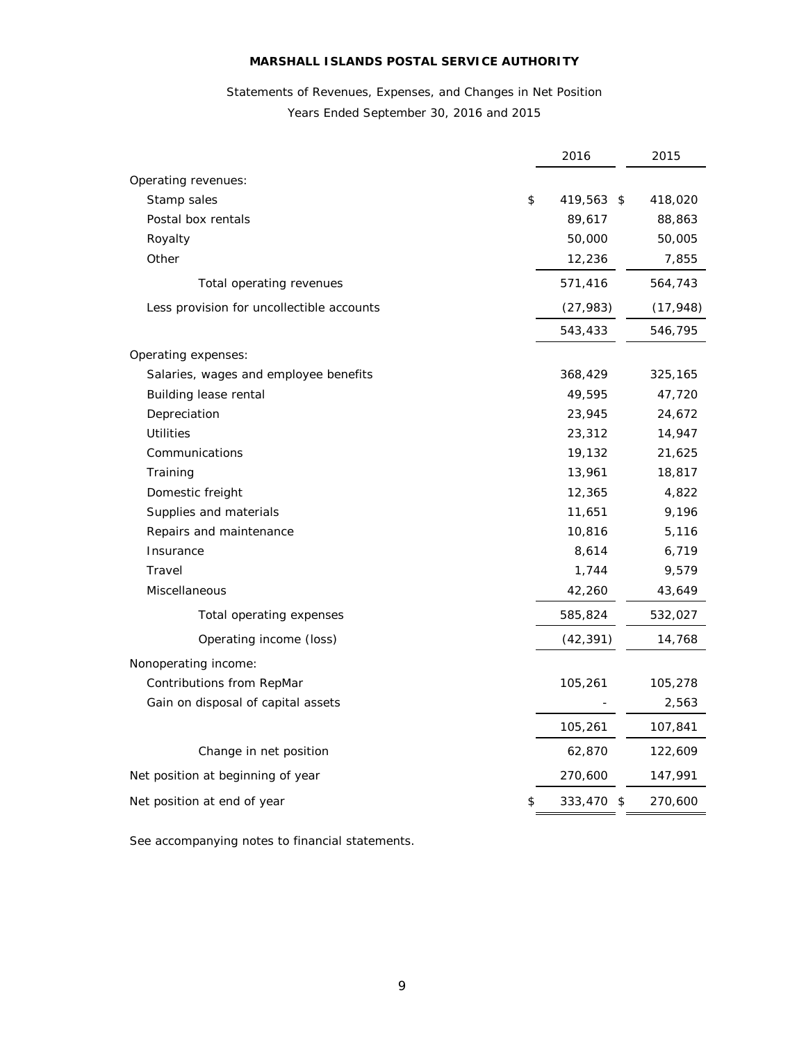# Statements of Revenues, Expenses, and Changes in Net Position Years Ended September 30, 2016 and 2015

|                                           | 2016                 | 2015      |
|-------------------------------------------|----------------------|-----------|
| Operating revenues:                       |                      |           |
| Stamp sales                               | \$<br>419,563 \$     | 418,020   |
| Postal box rentals                        | 89,617               | 88,863    |
| Royalty                                   | 50,000               | 50,005    |
| Other                                     | 12,236               | 7,855     |
| Total operating revenues                  | 571,416              | 564,743   |
| Less provision for uncollectible accounts | (27, 983)            | (17, 948) |
|                                           | 543,433              | 546,795   |
| Operating expenses:                       |                      |           |
| Salaries, wages and employee benefits     | 368,429              | 325,165   |
| Building lease rental                     | 49,595               | 47,720    |
| Depreciation                              | 23,945               | 24,672    |
| <b>Utilities</b>                          | 23,312               | 14,947    |
| Communications                            | 19,132               | 21,625    |
| Training                                  | 13,961               | 18,817    |
| Domestic freight                          | 12,365               | 4,822     |
| Supplies and materials                    | 11,651               | 9,196     |
| Repairs and maintenance                   | 10,816               | 5,116     |
| Insurance                                 | 8,614                | 6,719     |
| Travel                                    | 1,744                | 9,579     |
| Miscellaneous                             | 42,260               | 43,649    |
| Total operating expenses                  | 585,824              | 532,027   |
| Operating income (loss)                   | (42, 391)            | 14,768    |
| Nonoperating income:                      |                      |           |
| Contributions from RepMar                 | 105,261              | 105,278   |
| Gain on disposal of capital assets        |                      | 2,563     |
|                                           | 105,261              | 107,841   |
| Change in net position                    | 62,870               | 122,609   |
| Net position at beginning of year         | 270,600              | 147,991   |
| Net position at end of year               | \$<br>333,470<br>-\$ | 270,600   |

See accompanying notes to financial statements.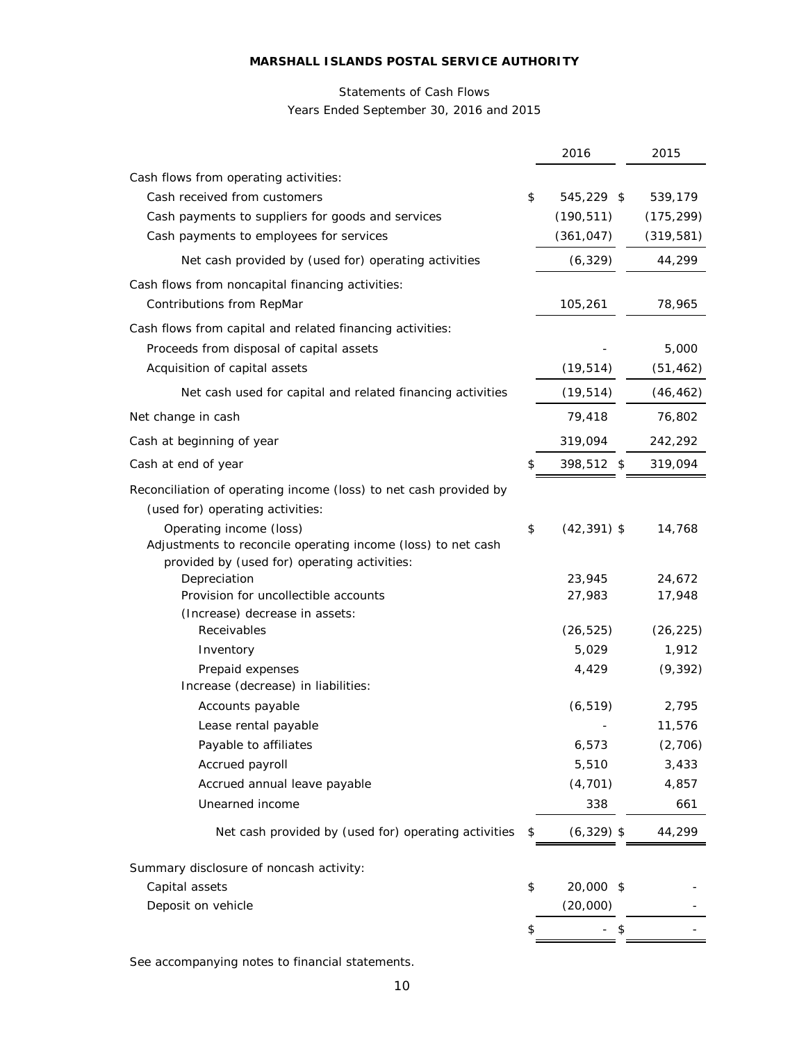# Statements of Cash Flows Years Ended September 30, 2016 and 2015

|                                                                   | 2016                 | 2015             |
|-------------------------------------------------------------------|----------------------|------------------|
| Cash flows from operating activities:                             |                      |                  |
| Cash received from customers                                      | \$<br>545,229 \$     | 539,179          |
| Cash payments to suppliers for goods and services                 | (190, 511)           | (175, 299)       |
| Cash payments to employees for services                           | (361, 047)           | (319, 581)       |
| Net cash provided by (used for) operating activities              | (6, 329)             | 44,299           |
| Cash flows from noncapital financing activities:                  |                      |                  |
| Contributions from RepMar                                         | 105,261              | 78,965           |
| Cash flows from capital and related financing activities:         |                      |                  |
| Proceeds from disposal of capital assets                          |                      | 5,000            |
| Acquisition of capital assets                                     | (19, 514)            | (51, 462)        |
| Net cash used for capital and related financing activities        | (19, 514)            | (46, 462)        |
| Net change in cash                                                | 79,418               | 76,802           |
| Cash at beginning of year                                         | 319,094              | 242,292          |
| Cash at end of year                                               | \$<br>398,512 \$     | 319,094          |
| Reconciliation of operating income (loss) to net cash provided by |                      |                  |
| (used for) operating activities:                                  |                      |                  |
| Operating income (loss)                                           | \$<br>$(42, 391)$ \$ | 14,768           |
| Adjustments to reconcile operating income (loss) to net cash      |                      |                  |
| provided by (used for) operating activities:                      |                      |                  |
| Depreciation<br>Provision for uncollectible accounts              | 23,945<br>27,983     | 24,672<br>17,948 |
| (Increase) decrease in assets:                                    |                      |                  |
| Receivables                                                       | (26, 525)            | (26, 225)        |
| Inventory                                                         | 5,029                | 1,912            |
| Prepaid expenses                                                  | 4,429                | (9, 392)         |
| Increase (decrease) in liabilities:                               |                      |                  |
| Accounts payable                                                  | (6, 519)             | 2,795            |
| Lease rental payable                                              |                      | 11,576           |
| Payable to affiliates                                             | 6,573                | (2,706)          |
| Accrued payroll                                                   | 5,510                | 3,433            |
| Accrued annual leave payable                                      | (4, 701)             | 4,857            |
| Unearned income                                                   | 338                  | 661              |
| Net cash provided by (used for) operating activities              | \$<br>$(6,329)$ \$   | 44,299           |
|                                                                   |                      |                  |
| Summary disclosure of noncash activity:                           |                      |                  |
| Capital assets                                                    | \$<br>20,000 \$      |                  |
| Deposit on vehicle                                                | (20,000)             |                  |
|                                                                   | \$<br>$\,$           |                  |

See accompanying notes to financial statements.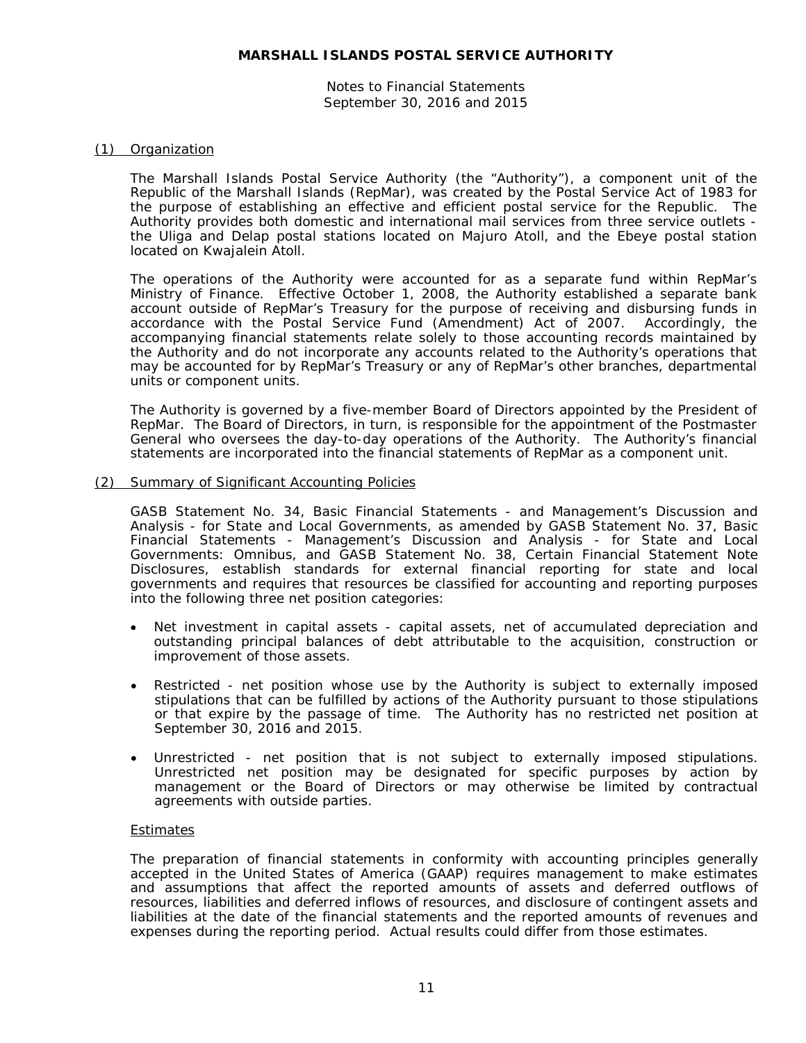Notes to Financial Statements September 30, 2016 and 2015

## (1) Organization

The Marshall Islands Postal Service Authority (the "Authority"), a component unit of the Republic of the Marshall Islands (RepMar), was created by the Postal Service Act of 1983 for the purpose of establishing an effective and efficient postal service for the Republic. The Authority provides both domestic and international mail services from three service outlets the Uliga and Delap postal stations located on Majuro Atoll, and the Ebeye postal station located on Kwajalein Atoll.

The operations of the Authority were accounted for as a separate fund within RepMar's Ministry of Finance. Effective October 1, 2008, the Authority established a separate bank account outside of RepMar's Treasury for the purpose of receiving and disbursing funds in accordance with the Postal Service Fund (Amendment) Act of 2007. Accordingly, the accompanying financial statements relate solely to those accounting records maintained by the Authority and do not incorporate any accounts related to the Authority's operations that may be accounted for by RepMar's Treasury or any of RepMar's other branches, departmental units or component units.

The Authority is governed by a five-member Board of Directors appointed by the President of RepMar. The Board of Directors, in turn, is responsible for the appointment of the Postmaster General who oversees the day-to-day operations of the Authority. The Authority's financial statements are incorporated into the financial statements of RepMar as a component unit.

## (2) Summary of Significant Accounting Policies

GASB Statement No. 34, *Basic Financial Statements - and Management's Discussion and Analysis - for State and Local Governments*, as amended by GASB Statement No. 37, *Basic Financial Statements - Management's Discussion and Analysis - for State and Local Governments: Omnibus*, and GASB Statement No. 38, *Certain Financial Statement Note Disclosures*, establish standards for external financial reporting for state and local governments and requires that resources be classified for accounting and reporting purposes into the following three net position categories:

- Net investment in capital assets capital assets, net of accumulated depreciation and outstanding principal balances of debt attributable to the acquisition, construction or improvement of those assets.
- Restricted net position whose use by the Authority is subject to externally imposed stipulations that can be fulfilled by actions of the Authority pursuant to those stipulations or that expire by the passage of time. The Authority has no restricted net position at September 30, 2016 and 2015.
- Unrestricted net position that is not subject to externally imposed stipulations. Unrestricted net position may be designated for specific purposes by action by management or the Board of Directors or may otherwise be limited by contractual agreements with outside parties.

## Estimates

The preparation of financial statements in conformity with accounting principles generally accepted in the United States of America (GAAP) requires management to make estimates and assumptions that affect the reported amounts of assets and deferred outflows of resources, liabilities and deferred inflows of resources, and disclosure of contingent assets and liabilities at the date of the financial statements and the reported amounts of revenues and expenses during the reporting period. Actual results could differ from those estimates.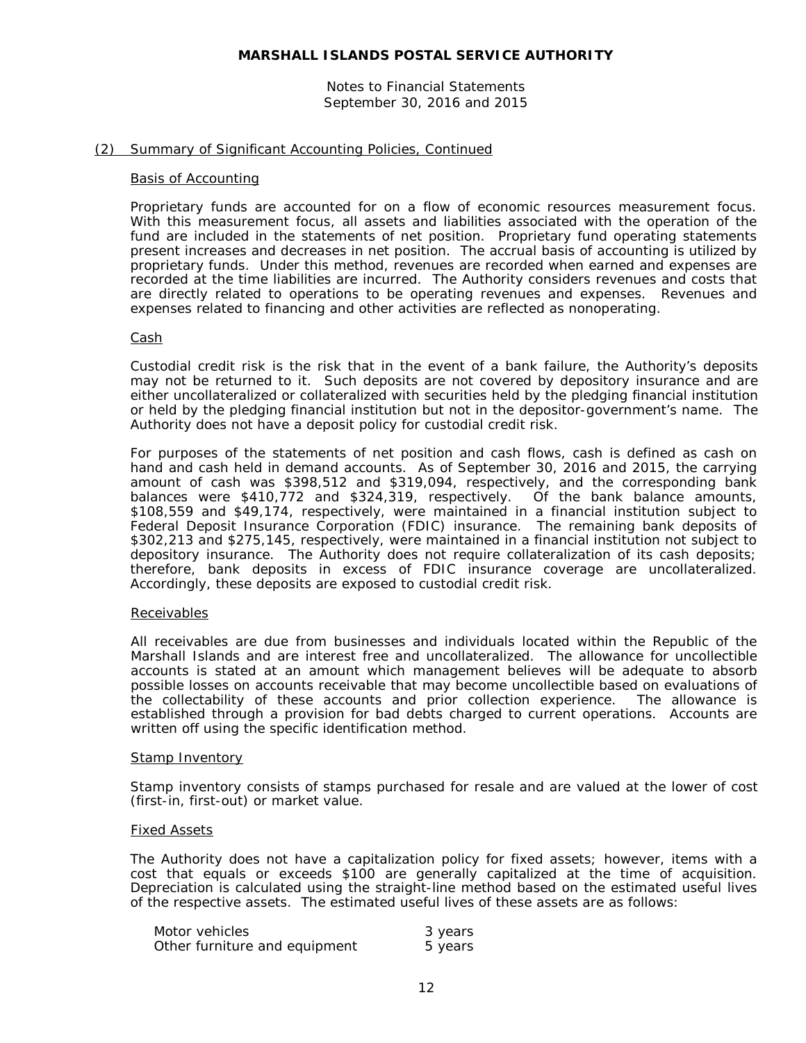Notes to Financial Statements September 30, 2016 and 2015

## (2) Summary of Significant Accounting Policies, Continued

#### Basis of Accounting

Proprietary funds are accounted for on a flow of economic resources measurement focus. With this measurement focus, all assets and liabilities associated with the operation of the fund are included in the statements of net position. Proprietary fund operating statements present increases and decreases in net position. The accrual basis of accounting is utilized by proprietary funds. Under this method, revenues are recorded when earned and expenses are recorded at the time liabilities are incurred. The Authority considers revenues and costs that are directly related to operations to be operating revenues and expenses. Revenues and expenses related to financing and other activities are reflected as nonoperating.

#### Cash

Custodial credit risk is the risk that in the event of a bank failure, the Authority's deposits may not be returned to it. Such deposits are not covered by depository insurance and are either uncollateralized or collateralized with securities held by the pledging financial institution or held by the pledging financial institution but not in the depositor-government's name. The Authority does not have a deposit policy for custodial credit risk.

For purposes of the statements of net position and cash flows, cash is defined as cash on hand and cash held in demand accounts. As of September 30, 2016 and 2015, the carrying amount of cash was \$398,512 and \$319,094, respectively, and the corresponding bank balances were \$410,772 and \$324,319, respectively. \$108,559 and \$49,174, respectively, were maintained in a financial institution subject to Federal Deposit Insurance Corporation (FDIC) insurance. The remaining bank deposits of \$302,213 and \$275,145, respectively, were maintained in a financial institution not subject to depository insurance. The Authority does not require collateralization of its cash deposits; therefore, bank deposits in excess of FDIC insurance coverage are uncollateralized. Accordingly, these deposits are exposed to custodial credit risk.

#### Receivables

All receivables are due from businesses and individuals located within the Republic of the Marshall Islands and are interest free and uncollateralized. The allowance for uncollectible accounts is stated at an amount which management believes will be adequate to absorb possible losses on accounts receivable that may become uncollectible based on evaluations of the collectability of these accounts and prior collection experience. The allowance is established through a provision for bad debts charged to current operations. Accounts are written off using the specific identification method.

#### Stamp Inventory

Stamp inventory consists of stamps purchased for resale and are valued at the lower of cost (first-in, first-out) or market value.

#### Fixed Assets

The Authority does not have a capitalization policy for fixed assets; however, items with a cost that equals or exceeds \$100 are generally capitalized at the time of acquisition. Depreciation is calculated using the straight-line method based on the estimated useful lives of the respective assets. The estimated useful lives of these assets are as follows:

| Motor vehicles                | 3 years |
|-------------------------------|---------|
| Other furniture and equipment | 5 years |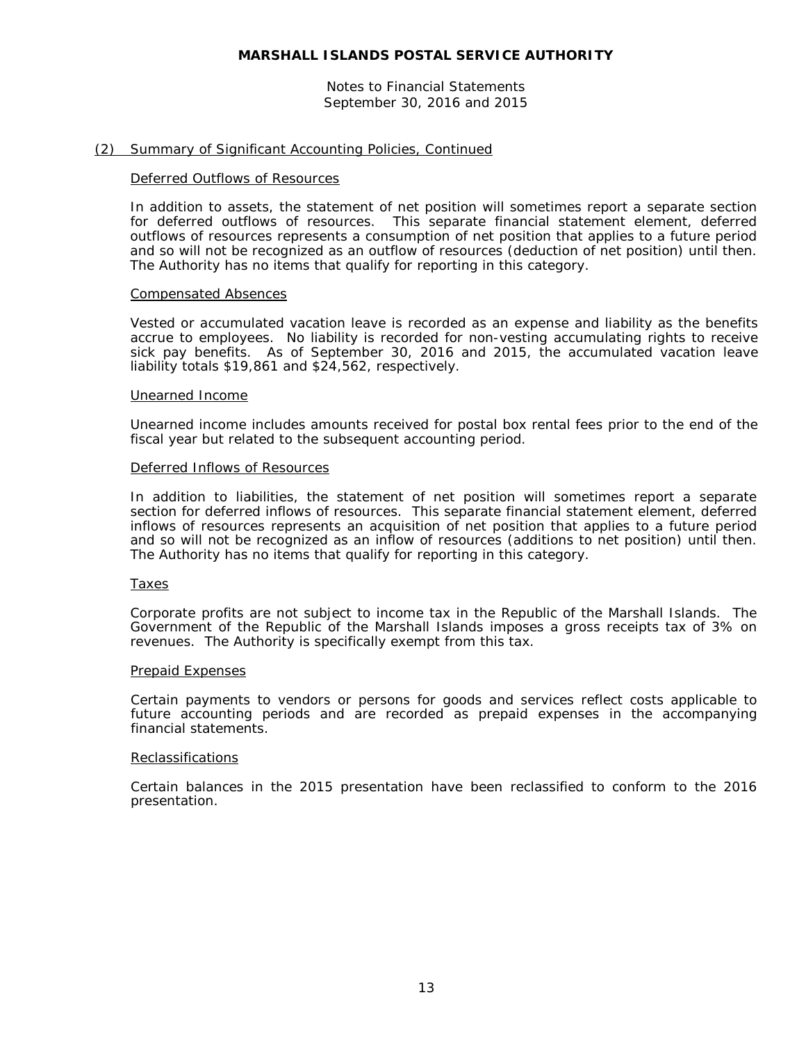Notes to Financial Statements September 30, 2016 and 2015

## (2) Summary of Significant Accounting Policies, Continued

#### Deferred Outflows of Resources

In addition to assets, the statement of net position will sometimes report a separate section for deferred outflows of resources. This separate financial statement element, deferred outflows of resources represents a consumption of net position that applies to a future period and so will not be recognized as an outflow of resources (deduction of net position) until then. The Authority has no items that qualify for reporting in this category.

#### Compensated Absences

Vested or accumulated vacation leave is recorded as an expense and liability as the benefits accrue to employees. No liability is recorded for non-vesting accumulating rights to receive sick pay benefits. As of September 30, 2016 and 2015, the accumulated vacation leave liability totals \$19,861 and \$24,562, respectively.

#### Unearned Income

Unearned income includes amounts received for postal box rental fees prior to the end of the fiscal year but related to the subsequent accounting period.

#### Deferred Inflows of Resources

In addition to liabilities, the statement of net position will sometimes report a separate section for deferred inflows of resources. This separate financial statement element, deferred inflows of resources represents an acquisition of net position that applies to a future period and so will not be recognized as an inflow of resources (additions to net position) until then. The Authority has no items that qualify for reporting in this category.

## Taxes

Corporate profits are not subject to income tax in the Republic of the Marshall Islands. The Government of the Republic of the Marshall Islands imposes a gross receipts tax of 3% on revenues. The Authority is specifically exempt from this tax.

#### Prepaid Expenses

Certain payments to vendors or persons for goods and services reflect costs applicable to future accounting periods and are recorded as prepaid expenses in the accompanying financial statements.

#### Reclassifications

Certain balances in the 2015 presentation have been reclassified to conform to the 2016 presentation.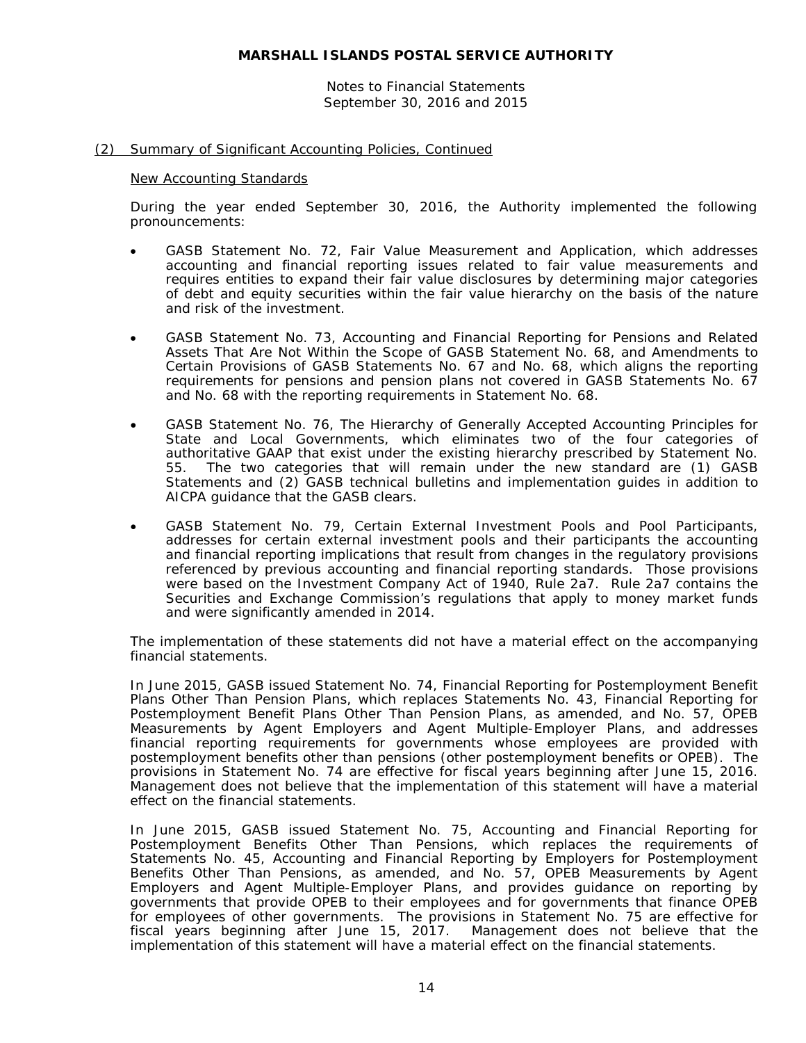Notes to Financial Statements September 30, 2016 and 2015

## (2) Summary of Significant Accounting Policies, Continued

## New Accounting Standards

During the year ended September 30, 2016, the Authority implemented the following pronouncements:

- GASB Statement No. 72, *Fair Value Measurement and Application,* which addresses accounting and financial reporting issues related to fair value measurements and requires entities to expand their fair value disclosures by determining major categories of debt and equity securities within the fair value hierarchy on the basis of the nature and risk of the investment.
- GASB Statement No. 73, *Accounting and Financial Reporting for Pensions and Related Assets That Are Not Within the Scope of GASB Statement* No. *68, and Amendments to Certain Provisions of GASB Statements* No. *67 and* No. *68*, which aligns the reporting requirements for pensions and pension plans not covered in GASB Statements No.  $6\overline{7}$ and No. 68 with the reporting requirements in Statement No. 68.
- GASB Statement No. 76, *The Hierarchy of Generally Accepted Accounting Principles for State and Local Governments*, which eliminates two of the four categories of authoritative GAAP that exist under the existing hierarchy prescribed by Statement No. 55. The two categories that will remain under the new standard are (1) GASB Statements and (2) GASB technical bulletins and implementation guides in addition to AICPA guidance that the GASB clears.
- GASB Statement No. 79, *Certain External Investment Pools and Pool Participants*, addresses for certain external investment pools and their participants the accounting and financial reporting implications that result from changes in the regulatory provisions referenced by previous accounting and financial reporting standards. Those provisions were based on the Investment Company Act of 1940, Rule 2a7. Rule 2a7 contains the Securities and Exchange Commission's regulations that apply to money market funds and were significantly amended in 2014.

The implementation of these statements did not have a material effect on the accompanying financial statements.

In June 2015, GASB issued Statement No. 74, *Financial Reporting for Postemployment Benefit Plans Other Than Pension Plans*, which replaces Statements No. 43, *Financial Reporting for Postemployment Benefit Plans Other Than Pension Plans*, as amended, and No. 57, *OPEB Measurements by Agent Employers and Agent Multiple-Employer Plans*, and addresses financial reporting requirements for governments whose employees are provided with postemployment benefits other than pensions (other postemployment benefits or OPEB). The provisions in Statement No. 74 are effective for fiscal years beginning after June 15, 2016. Management does not believe that the implementation of this statement will have a material effect on the financial statements.

In June 2015, GASB issued Statement No. 75, *Accounting and Financial Reporting for Postemployment Benefits Other Than Pensions*, which replaces the requirements of Statements No. 45, *Accounting and Financial Reporting by Employers for Postemployment Benefits Other Than Pensions*, as amended, and No. 57, *OPEB Measurements by Agent Employers and Agent Multiple-Employer Plans*, and provides guidance on reporting by governments that provide OPEB to their employees and for governments that finance OPEB for employees of other governments. The provisions in Statement No. 75 are effective for fiscal years beginning after June 15, 2017. Management does not believe that the implementation of this statement will have a material effect on the financial statements.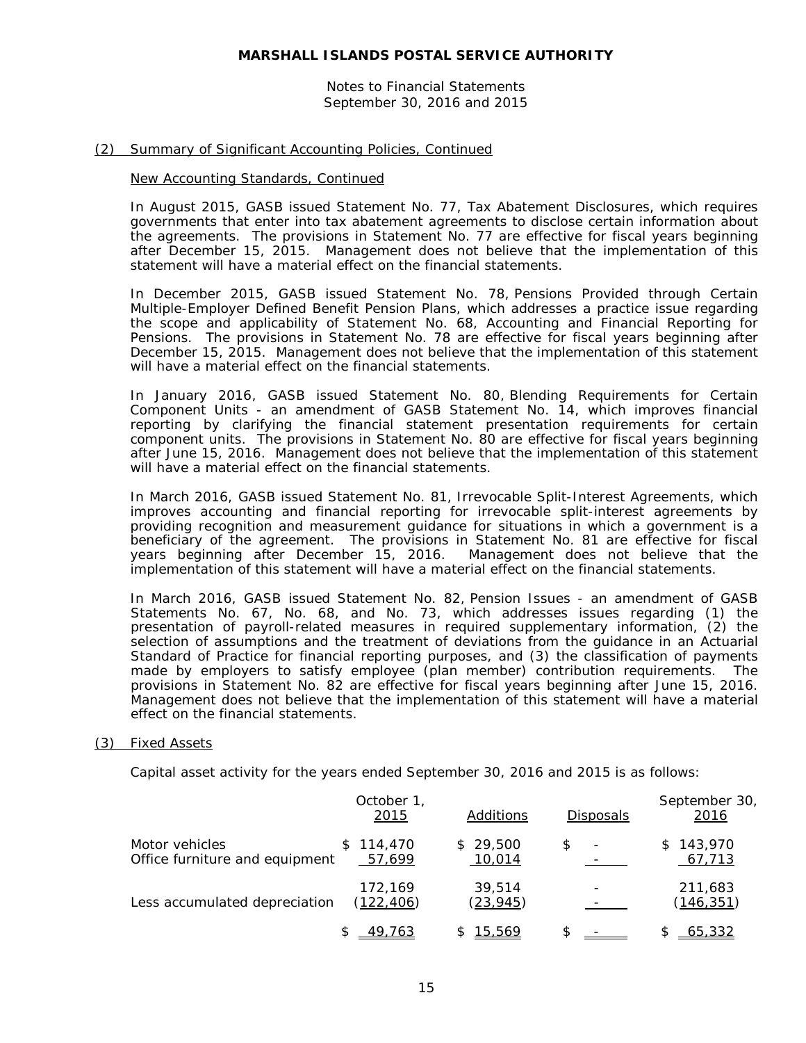Notes to Financial Statements September 30, 2016 and 2015

## (2) Summary of Significant Accounting Policies, Continued

#### New Accounting Standards, Continued

In August 2015, GASB issued Statement No. 77, *Tax Abatement Disclosures*, which requires governments that enter into tax abatement agreements to disclose certain information about the agreements. The provisions in Statement No. 77 are effective for fiscal years beginning after December 15, 2015. Management does not believe that the implementation of this statement will have a material effect on the financial statements.

In December 2015, GASB issued Statement No. 78, *Pensions Provided through Certain Multiple-Employer Defined Benefit Pension Plans,* which addresses a practice issue regarding the scope and applicability of Statement No. 68, *Accounting and Financial Reporting for Pensions*. The provisions in Statement No. 78 are effective for fiscal years beginning after December 15, 2015. Management does not believe that the implementation of this statement will have a material effect on the financial statements.

In January 2016, GASB issued Statement No. 80, *Blending Requirements for Certain Component Units - an amendment of GASB Statement No. 14,* which improves financial reporting by clarifying the financial statement presentation requirements for certain component units. The provisions in Statement No. 80 are effective for fiscal years beginning after June 15, 2016. Management does not believe that the implementation of this statement will have a material effect on the financial statements.

In March 2016, GASB issued Statement No. 81, *Irrevocable Split-Interest Agreements,* which improves accounting and financial reporting for irrevocable split-interest agreements by providing recognition and measurement guidance for situations in which a government is a beneficiary of the agreement. The provisions in Statement No. 81 are effective for fiscal years beginning after December 15, 2016. Management does not believe that the implementation of this statement will have a material effect on the financial statements.

In March 2016, GASB issued Statement No. 82, *Pension Issues - an amendment of GASB Statements No. 67, No. 68, and No. 73,* which addresses issues regarding (1) the presentation of payroll-related measures in required supplementary information, (2) the selection of assumptions and the treatment of deviations from the guidance in an Actuarial Standard of Practice for financial reporting purposes, and (3) the classification of payments made by employers to satisfy employee (plan member) contribution requirements. The provisions in Statement No. 82 are effective for fiscal years beginning after June 15, 2016. Management does not believe that the implementation of this statement will have a material effect on the financial statements.

(3) Fixed Assets

Capital asset activity for the years ended September 30, 2016 and 2015 is as follows:

|                                                  | October 1,<br>2015    | Additions           | <b>Disposals</b>         | September 30,<br>2016 |
|--------------------------------------------------|-----------------------|---------------------|--------------------------|-----------------------|
| Motor vehicles<br>Office furniture and equipment | \$114.470<br>57,699   | \$29,500<br>10,014  | $\overline{\phantom{a}}$ | \$143,970<br>67,713   |
| Less accumulated depreciation                    | 172,169<br>(122, 406) | 39,514<br>(23, 945) |                          | 211,683<br>(146, 351) |
|                                                  | 49.763                | 15,569<br>\$.       | \$.                      | 65,332                |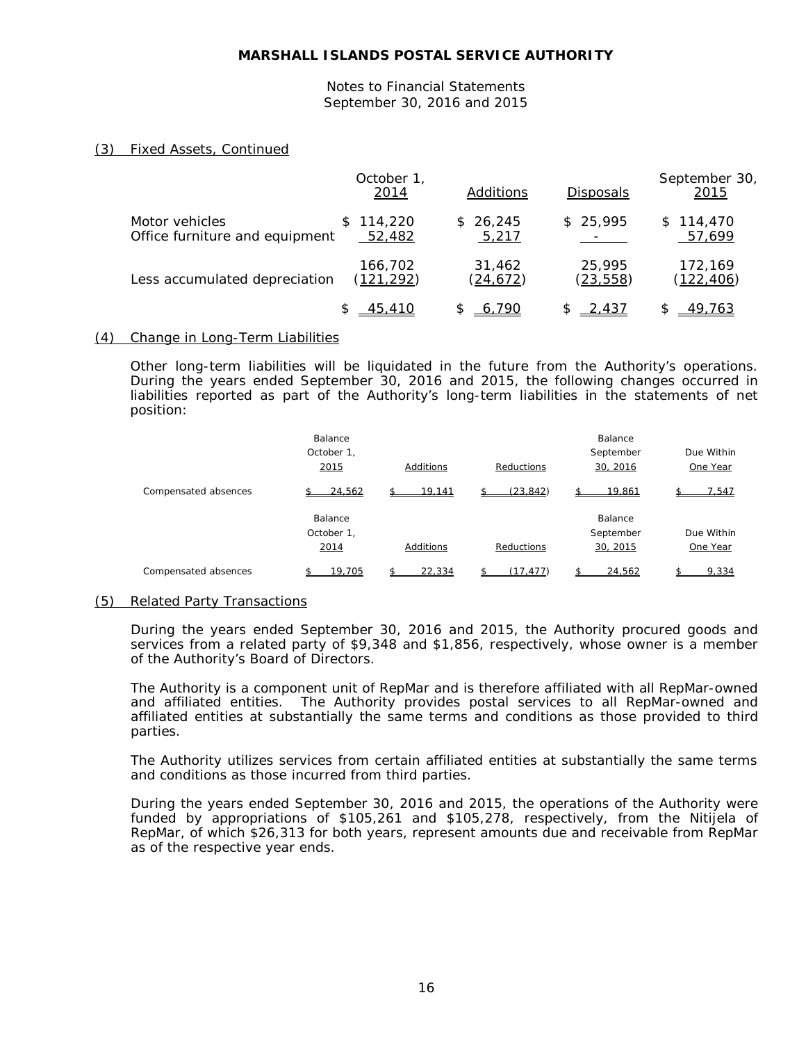Notes to Financial Statements September 30, 2016 and 2015

## (3) Fixed Assets, Continued

|                                | October 1,<br>2014 | Additions | <b>Disposals</b> | September 30,<br>2015 |
|--------------------------------|--------------------|-----------|------------------|-----------------------|
| Motor vehicles                 | 114,220            | \$26,245  | \$25,995         | \$114.470             |
| Office furniture and equipment | 5 <u>2,482</u>     | 5,217     |                  | 57,699                |
| Less accumulated depreciation  | 166,702            | 31,462    | 25,995           | 172,169               |
|                                | (121, 292)         | (24, 672) | (23, 558)        | (122, 406)            |
|                                | 45.410             | 6.790     | .437             | 49 <u>.763</u>        |

## (4) Change in Long-Term Liabilities

Other long-term liabilities will be liquidated in the future from the Authority's operations. During the years ended September 30, 2016 and 2015, the following changes occurred in liabilities reported as part of the Authority's long-term liabilities in the statements of net position:

|                      | Balance<br>October 1.<br>2015 | Additions | Reductions | Balance<br>September<br>30, 2016 | Due Within<br>One Year |
|----------------------|-------------------------------|-----------|------------|----------------------------------|------------------------|
| Compensated absences | 24,562                        | 19,141    | (23, 842)  | 19,861                           | 7,547                  |
|                      | Balance<br>October 1,<br>2014 | Additions | Reductions | Balance<br>September<br>30, 2015 | Due Within<br>One Year |
| Compensated absences | 19,705                        | 22.334    | (17.477)   | 24.562                           | 9.334                  |

## (5) Related Party Transactions

During the years ended September 30, 2016 and 2015, the Authority procured goods and services from a related party of \$9,348 and \$1,856, respectively, whose owner is a member of the Authority's Board of Directors.

The Authority is a component unit of RepMar and is therefore affiliated with all RepMar-owned and affiliated entities. The Authority provides postal services to all RepMar-owned and affiliated entities at substantially the same terms and conditions as those provided to third parties.

The Authority utilizes services from certain affiliated entities at substantially the same terms and conditions as those incurred from third parties.

During the years ended September 30, 2016 and 2015, the operations of the Authority were funded by appropriations of \$105,261 and \$105,278, respectively, from the Nitijela of RepMar, of which \$26,313 for both years, represent amounts due and receivable from RepMar as of the respective year ends.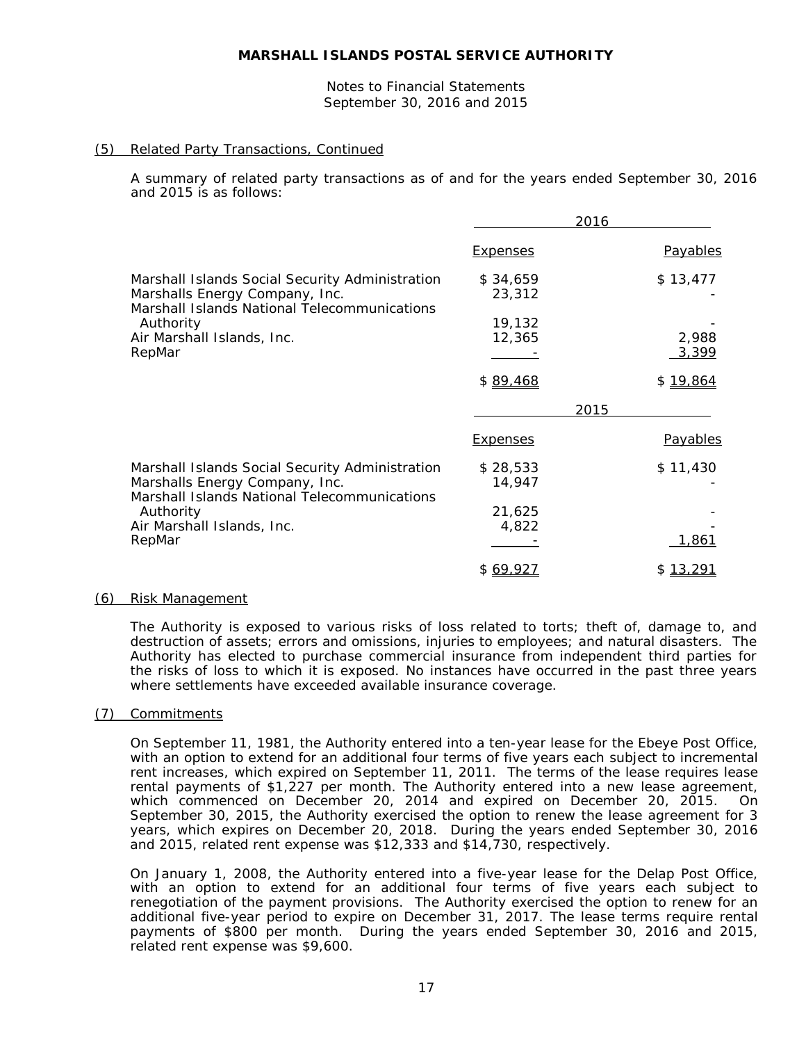## Notes to Financial Statements September 30, 2016 and 2015

## (5) Related Party Transactions, Continued

A summary of related party transactions as of and for the years ended September 30, 2016 and 2015 is as follows:

|                                                                                |                  | 2016 |                 |
|--------------------------------------------------------------------------------|------------------|------|-----------------|
|                                                                                | <b>Expenses</b>  |      | <b>Payables</b> |
| Marshall Islands Social Security Administration                                | \$34,659         |      | \$13,477        |
| Marshalls Energy Company, Inc.<br>Marshall Islands National Telecommunications | 23,312           |      |                 |
| Authority                                                                      | 19,132           |      |                 |
| Air Marshall Islands, Inc.                                                     | 12,365           |      | 2,988           |
| RepMar                                                                         |                  |      | 3,399           |
|                                                                                | \$89,468         |      | \$19,864        |
|                                                                                |                  | 2015 |                 |
|                                                                                | <b>Expenses</b>  |      | <b>Payables</b> |
| Marshall Islands Social Security Administration                                | \$28,533         |      | \$11,430        |
| Marshalls Energy Company, Inc.<br>Marshall Islands National Telecommunications | 14,947           |      |                 |
| Authority                                                                      | 21,625           |      |                 |
| Air Marshall Islands, Inc.                                                     | 4,822            |      |                 |
| RepMar                                                                         |                  |      | 1,861           |
|                                                                                | \$ <u>69,927</u> |      | \$13.291        |

#### (6) Risk Management

The Authority is exposed to various risks of loss related to torts; theft of, damage to, and destruction of assets; errors and omissions, injuries to employees; and natural disasters. The Authority has elected to purchase commercial insurance from independent third parties for the risks of loss to which it is exposed. No instances have occurred in the past three years where settlements have exceeded available insurance coverage.

## (7) Commitments

On September 11, 1981, the Authority entered into a ten-year lease for the Ebeye Post Office, with an option to extend for an additional four terms of five years each subject to incremental rent increases, which expired on September 11, 2011. The terms of the lease requires lease rental payments of \$1,227 per month. The Authority entered into a new lease agreement, which commenced on December 20, 2014 and expired on December 20, 2015. On September 30, 2015, the Authority exercised the option to renew the lease agreement for 3 years, which expires on December 20, 2018. During the years ended September 30, 2016 and 2015, related rent expense was \$12,333 and \$14,730, respectively.

On January 1, 2008, the Authority entered into a five-year lease for the Delap Post Office, with an option to extend for an additional four terms of five years each subject to renegotiation of the payment provisions. The Authority exercised the option to renew for an additional five-year period to expire on December 31, 2017. The lease terms require rental payments of \$800 per month. During the years ended September 30, 2016 and 2015, related rent expense was \$9,600.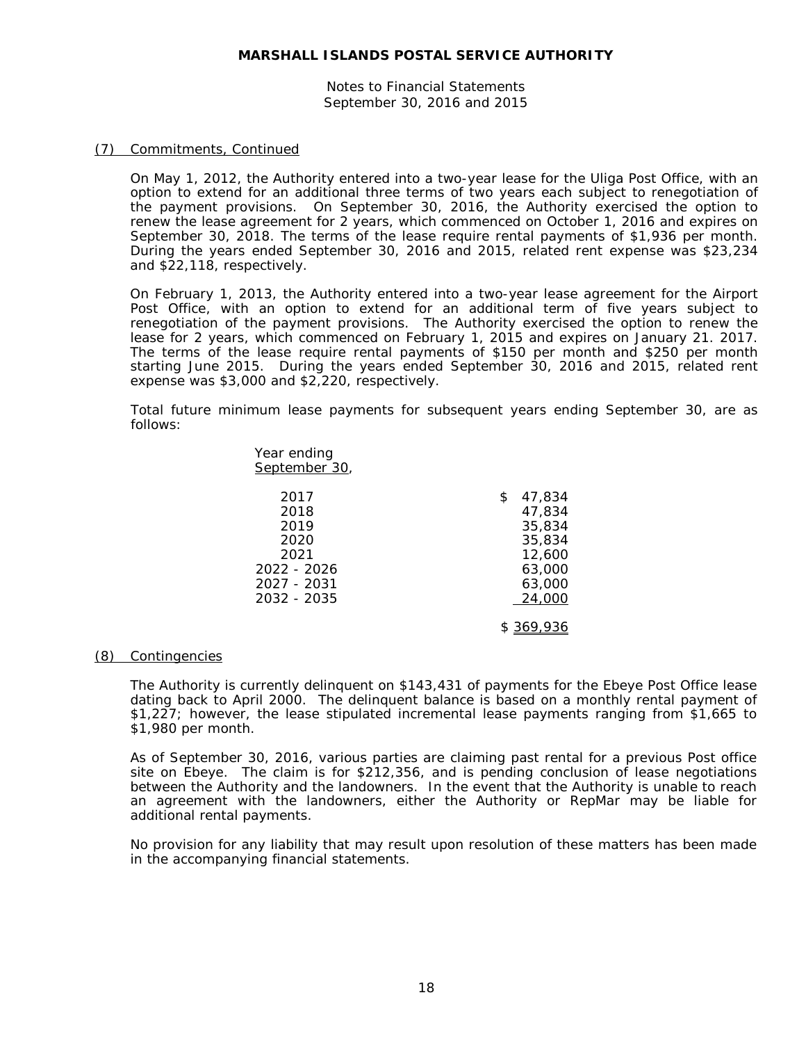Notes to Financial Statements September 30, 2016 and 2015

## (7) Commitments, Continued

On May 1, 2012, the Authority entered into a two-year lease for the Uliga Post Office, with an option to extend for an additional three terms of two years each subject to renegotiation of the payment provisions. On September 30, 2016, the Authority exercised the option to renew the lease agreement for 2 years, which commenced on October 1, 2016 and expires on September 30, 2018. The terms of the lease require rental payments of \$1,936 per month. During the years ended September 30, 2016 and 2015, related rent expense was \$23,234 and \$22,118, respectively.

On February 1, 2013, the Authority entered into a two-year lease agreement for the Airport Post Office, with an option to extend for an additional term of five years subject to renegotiation of the payment provisions. The Authority exercised the option to renew the lease for 2 years, which commenced on February 1, 2015 and expires on January 21. 2017. The terms of the lease require rental payments of \$150 per month and \$250 per month starting June 2015. During the years ended September 30, 2016 and 2015, related rent expense was \$3,000 and \$2,220, respectively.

Total future minimum lease payments for subsequent years ending September 30, are as follows:

| Year ending<br>September 30, |   |        |
|------------------------------|---|--------|
| 2017                         | S | 47.834 |
| 2018                         |   | 47,834 |
| 2019                         |   | 35,834 |
| 2020                         |   | 35,834 |
| 2021                         |   | 12,600 |
| 2022 - 2026                  |   | 63,000 |
| 2027 - 2031                  |   | 63,000 |
| 2032 - 2035                  |   | 24,000 |
|                              |   |        |

## \$ 369,936

#### (8) Contingencies

The Authority is currently delinquent on \$143,431 of payments for the Ebeye Post Office lease dating back to April 2000. The delinquent balance is based on a monthly rental payment of \$1,227; however, the lease stipulated incremental lease payments ranging from \$1,665 to \$1,980 per month.

As of September 30, 2016, various parties are claiming past rental for a previous Post office site on Ebeye. The claim is for \$212,356, and is pending conclusion of lease negotiations between the Authority and the landowners. In the event that the Authority is unable to reach an agreement with the landowners, either the Authority or RepMar may be liable for additional rental payments.

No provision for any liability that may result upon resolution of these matters has been made in the accompanying financial statements.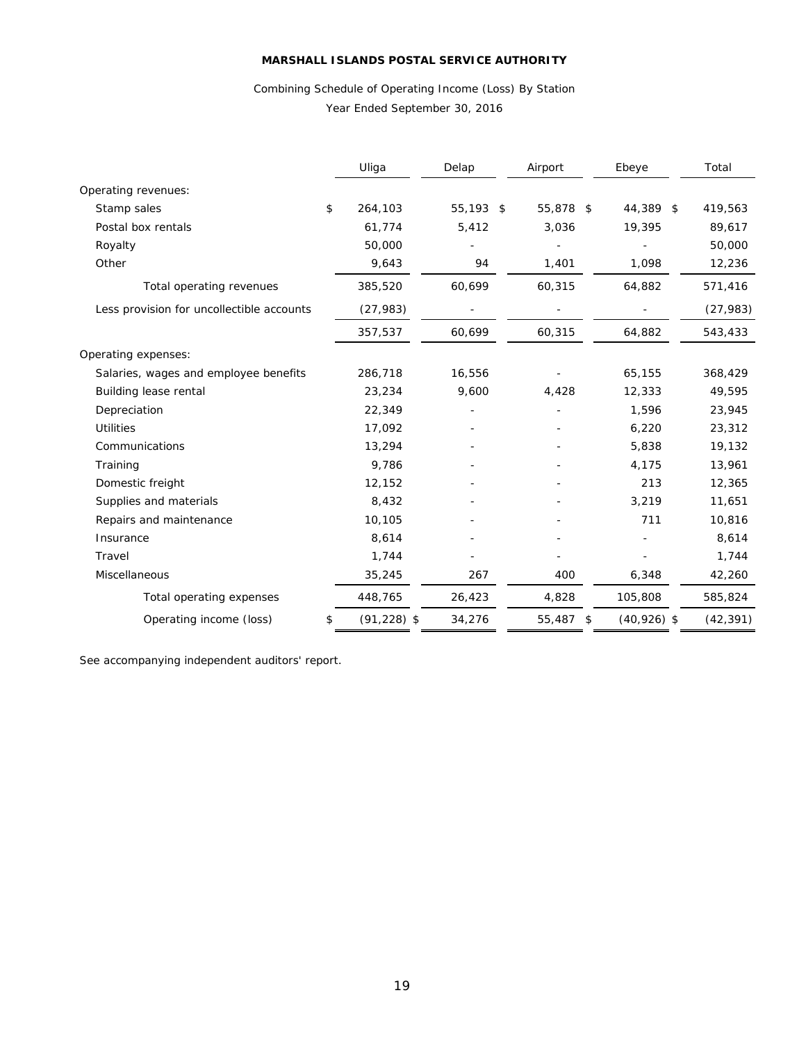# Combining Schedule of Operating Income (Loss) By Station Year Ended September 30, 2016

|                                           | Uliga                | Delap     | Airport   | Ebeye         | Total     |
|-------------------------------------------|----------------------|-----------|-----------|---------------|-----------|
| Operating revenues:                       |                      |           |           |               |           |
| Stamp sales                               | \$<br>264,103        | 55,193 \$ | 55,878 \$ | 44,389 \$     | 419,563   |
| Postal box rentals                        | 61,774               | 5,412     | 3,036     | 19,395        | 89,617    |
| Royalty                                   | 50,000               |           |           |               | 50,000    |
| Other                                     | 9,643                | 94        | 1,401     | 1,098         | 12,236    |
| Total operating revenues                  | 385,520              | 60,699    | 60,315    | 64,882        | 571,416   |
| Less provision for uncollectible accounts | (27, 983)            |           |           |               | (27, 983) |
|                                           | 357,537              | 60,699    | 60,315    | 64,882        | 543,433   |
| Operating expenses:                       |                      |           |           |               |           |
| Salaries, wages and employee benefits     | 286,718              | 16,556    |           | 65,155        | 368,429   |
| Building lease rental                     | 23,234               | 9,600     | 4,428     | 12,333        | 49,595    |
| Depreciation                              | 22,349               |           |           | 1,596         | 23,945    |
| <b>Utilities</b>                          | 17,092               |           |           | 6,220         | 23,312    |
| Communications                            | 13,294               |           |           | 5,838         | 19,132    |
| Training                                  | 9,786                |           |           | 4,175         | 13,961    |
| Domestic freight                          | 12,152               |           |           | 213           | 12,365    |
| Supplies and materials                    | 8,432                |           |           | 3,219         | 11,651    |
| Repairs and maintenance                   | 10,105               |           |           | 711           | 10,816    |
| Insurance                                 | 8,614                |           |           |               | 8,614     |
| Travel                                    | 1,744                |           |           |               | 1,744     |
| Miscellaneous                             | 35,245               | 267       | 400       | 6,348         | 42,260    |
| Total operating expenses                  | 448,765              | 26,423    | 4,828     | 105,808       | 585,824   |
| Operating income (loss)                   | \$<br>$(91, 228)$ \$ | 34,276    | 55,487 \$ | $(40,926)$ \$ | (42, 391) |

See accompanying independent auditors' report.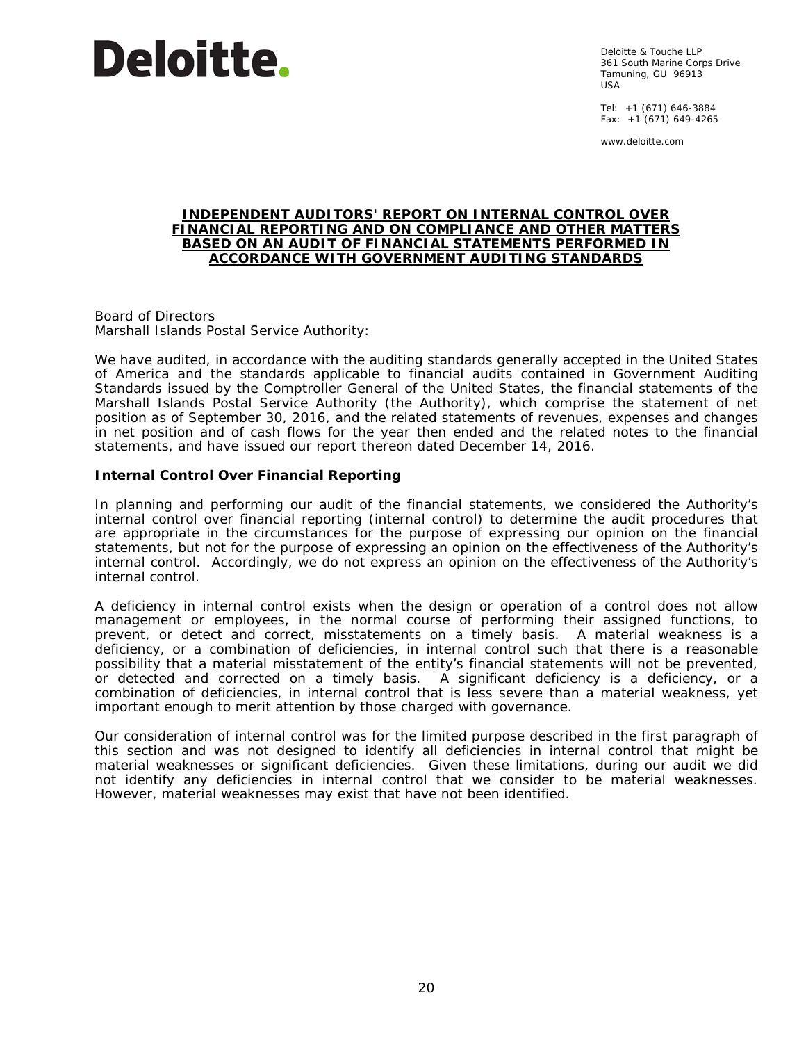

Deloitte & Touche LLP 361 South Marine Corps Drive Tamuning, GU 96913  $IISA$ 

Tel: +1 (671) 646-3884 Fax:  $+1$  (671) 649-4265

www.deloitte.com

#### **INDEPENDENT AUDITORS' REPORT ON INTERNAL CONTROL OVER FINANCIAL REPORTING AND ON COMPLIANCE AND OTHER MATTERS BASED ON AN AUDIT OF FINANCIAL STATEMENTS PERFORMED IN ACCORDANCE WITH** *GOVERNMENT AUDITING STANDARDS*

Board of Directors Marshall Islands Postal Service Authority:

We have audited, in accordance with the auditing standards generally accepted in the United States of America and the standards applicable to financial audits contained in *Government Auditing Standards* issued by the Comptroller General of the United States, the financial statements of the Marshall Islands Postal Service Authority (the Authority), which comprise the statement of net position as of September 30, 2016, and the related statements of revenues, expenses and changes in net position and of cash flows for the year then ended and the related notes to the financial statements, and have issued our report thereon dated December 14, 2016.

## **Internal Control Over Financial Reporting**

In planning and performing our audit of the financial statements, we considered the Authority's internal control over financial reporting (internal control) to determine the audit procedures that are appropriate in the circumstances for the purpose of expressing our opinion on the financial statements, but not for the purpose of expressing an opinion on the effectiveness of the Authority's internal control. Accordingly, we do not express an opinion on the effectiveness of the Authority's internal control.

A *deficiency in internal control* exists when the design or operation of a control does not allow management or employees, in the normal course of performing their assigned functions, to prevent, or detect and correct, misstatements on a timely basis. A *material weakness* is a deficiency, or a combination of deficiencies, in internal control such that there is a reasonable possibility that a material misstatement of the entity's financial statements will not be prevented, or detected and corrected on a timely basis. A *significant deficiency* is a deficiency, or a combination of deficiencies, in internal control that is less severe than a material weakness, yet important enough to merit attention by those charged with governance.

Our consideration of internal control was for the limited purpose described in the first paragraph of this section and was not designed to identify all deficiencies in internal control that might be material weaknesses or significant deficiencies. Given these limitations, during our audit we did not identify any deficiencies in internal control that we consider to be material weaknesses. However, material weaknesses may exist that have not been identified.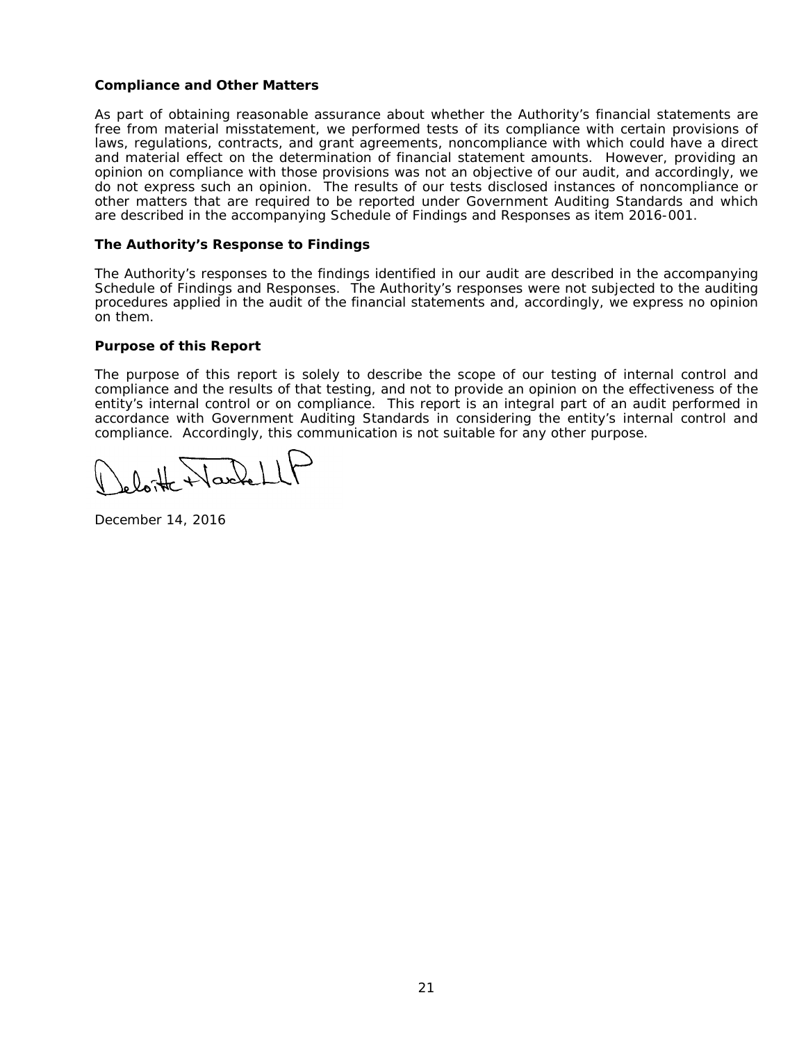## **Compliance and Other Matters**

As part of obtaining reasonable assurance about whether the Authority's financial statements are free from material misstatement, we performed tests of its compliance with certain provisions of laws, regulations, contracts, and grant agreements, noncompliance with which could have a direct and material effect on the determination of financial statement amounts. However, providing an opinion on compliance with those provisions was not an objective of our audit, and accordingly, we do not express such an opinion. The results of our tests disclosed instances of noncompliance or other matters that are required to be reported under *Government Auditing Standards* and which are described in the accompanying Schedule of Findings and Responses as item 2016-001.

## **The Authority's Response to Findings**

The Authority's responses to the findings identified in our audit are described in the accompanying Schedule of Findings and Responses. The Authority's responses were not subjected to the auditing procedures applied in the audit of the financial statements and, accordingly, we express no opinion on them.

## **Purpose of this Report**

The purpose of this report is solely to describe the scope of our testing of internal control and compliance and the results of that testing, and not to provide an opinion on the effectiveness of the entity's internal control or on compliance. This report is an integral part of an audit performed in accordance with *Government Auditing Standards* in considering the entity's internal control and compliance. Accordingly, this communication is not suitable for any other purpose.

December 14, 2016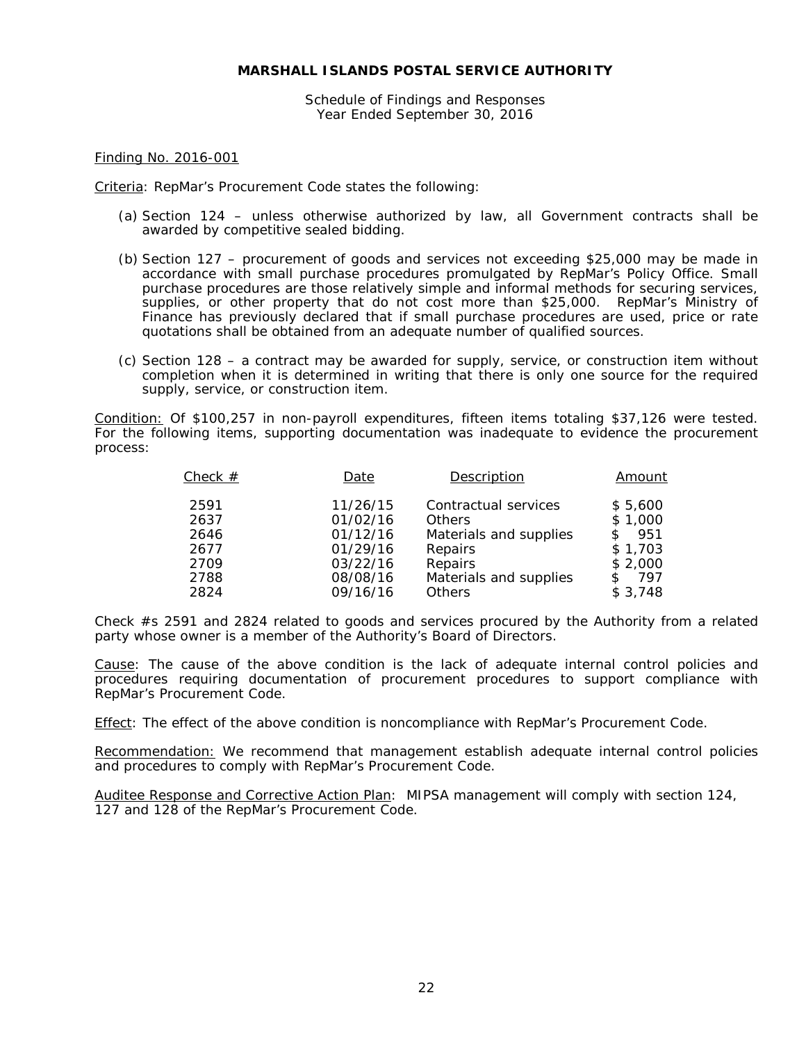Schedule of Findings and Responses Year Ended September 30, 2016

#### Finding No. 2016-001

Criteria: RepMar's Procurement Code states the following:

- (a) Section 124 unless otherwise authorized by law, all Government contracts shall be awarded by competitive sealed bidding.
- (b) Section 127 procurement of goods and services not exceeding \$25,000 may be made in accordance with small purchase procedures promulgated by RepMar's Policy Office. Small purchase procedures are those relatively simple and informal methods for securing services, supplies, or other property that do not cost more than \$25,000. RepMar's Ministry of Finance has previously declared that if small purchase procedures are used, price or rate quotations shall be obtained from an adequate number of qualified sources.
- (c) Section 128 a contract may be awarded for supply, service, or construction item without completion when it is determined in writing that there is only one source for the required supply, service, or construction item.

Condition: Of \$100,257 in non-payroll expenditures, fifteen items totaling \$37,126 were tested. For the following items, supporting documentation was inadequate to evidence the procurement process:

| Check $#$ | Date     | Description            | Amount    |
|-----------|----------|------------------------|-----------|
| 2591      | 11/26/15 | Contractual services   | \$5,600   |
| 2637      | 01/02/16 | Others                 | \$1,000   |
| 2646      | 01/12/16 | Materials and supplies | 951<br>\$ |
| 2677      | 01/29/16 | Repairs                | \$1,703   |
| 2709      | 03/22/16 | Repairs                | \$2,000   |
| 2788      | 08/08/16 | Materials and supplies | 797       |
| 2824      | 09/16/16 | <b>Others</b>          | \$3,748   |

Check #s 2591 and 2824 related to goods and services procured by the Authority from a related party whose owner is a member of the Authority's Board of Directors.

Cause: The cause of the above condition is the lack of adequate internal control policies and procedures requiring documentation of procurement procedures to support compliance with RepMar's Procurement Code.

Effect: The effect of the above condition is noncompliance with RepMar's Procurement Code.

Recommendation: We recommend that management establish adequate internal control policies and procedures to comply with RepMar's Procurement Code.

Auditee Response and Corrective Action Plan: MIPSA management will comply with section 124, 127 and 128 of the RepMar's Procurement Code.